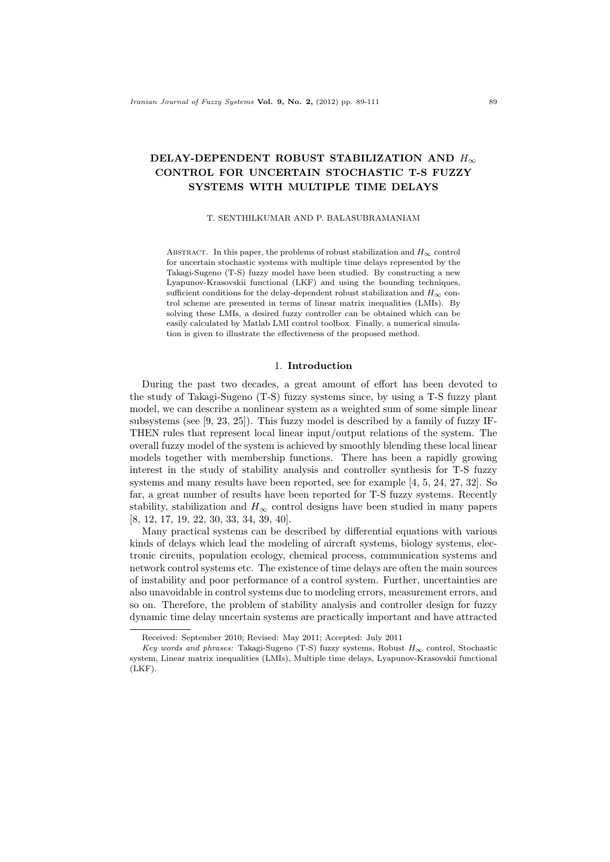# **DELAY-DEPENDENT ROBUST STABILIZATION AND** *H<sup>∞</sup>* **CONTROL FOR UNCERTAIN STOCHASTIC T-S FUZZY SYSTEMS WITH MULTIPLE TIME DELAYS**

### T. SENTHILKUMAR AND P. BALASUBRAMANIAM

ABSTRACT. In this paper, the problems of robust stabilization and  $H_{\infty}$  control for uncertain stochastic systems with multiple time delays represented by the Takagi-Sugeno (T-S) fuzzy model have been studied. By constructing a new Lyapunov-Krasovskii functional (LKF) and using the bounding techniques, sufficient conditions for the delay-dependent robust stabilization and  $H_{\infty}$  control scheme are presented in terms of linear matrix inequalities (LMIs). By solving these LMIs, a desired fuzzy controller can be obtained which can be easily calculated by Matlab LMI control toolbox. Finally, a numerical simulation is given to illustrate the effectiveness of the proposed method.

### 1. **Introduction**

During the past two decades, a great amount of effort has been devoted to the study of Takagi-Sugeno (T-S) fuzzy systems since, by using a T-S fuzzy plant model, we can describe a nonlinear system as a weighted sum of some simple linear subsystems (see [9, 23, 25]). This fuzzy model is described by a family of fuzzy IF-THEN rules that represent local linear input/output relations of the system. The overall fuzzy model of the system is achieved by smoothly blending these local linear models together with membership functions. There has been a rapidly growing interest in the study of stability analysis and controller synthesis for T-S fuzzy systems and many results have been reported, see for example [4, 5, 24, 27, 32]. So far, a great number of results have been reported for T-S fuzzy systems. Recently stability, stabilization and  $H_{\infty}$  control designs have been studied in many papers [8, 12, 17, 19, 22, 30, 33, 34, 39, 40].

Many practical systems can be described by differential equations with various kinds of delays which lead the modeling of aircraft systems, biology systems, electronic circuits, population ecology, chemical process, communication systems and network control systems etc. The existence of time delays are often the main sources of instability and poor performance of a control system. Further, uncertainties are also unavoidable in control systems due to modeling errors, measurement errors, and so on. Therefore, the problem of stability analysis and controller design for fuzzy dynamic time delay uncertain systems are practically important and have attracted

Received: September 2010; Revised: May 2011; Accepted: July 2011

*Key words and phrases:* Takagi-Sugeno (T-S) fuzzy systems, Robust *H<sup>∞</sup>* control, Stochastic system, Linear matrix inequalities (LMIs), Multiple time delays, Lyapunov-Krasovskii functional (LKF).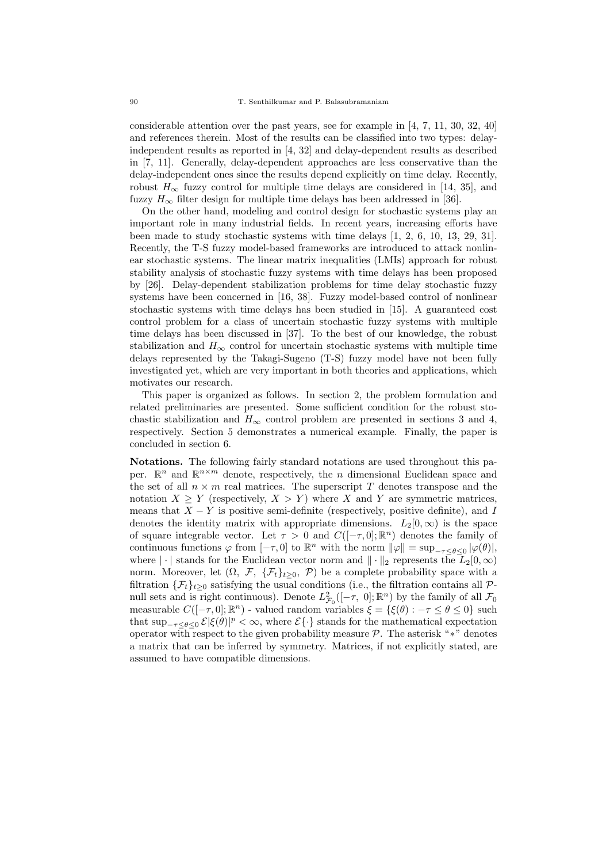considerable attention over the past years, see for example in [4, 7, 11, 30, 32, 40] and references therein. Most of the results can be classified into two types: delayindependent results as reported in [4, 32] and delay-dependent results as described in [7, 11]. Generally, delay-dependent approaches are less conservative than the delay-independent ones since the results depend explicitly on time delay. Recently, robust  $H_{\infty}$  fuzzy control for multiple time delays are considered in [14, 35], and fuzzy  $H_{\infty}$  filter design for multiple time delays has been addressed in [36].

On the other hand, modeling and control design for stochastic systems play an important role in many industrial fields. In recent years, increasing efforts have been made to study stochastic systems with time delays [1, 2, 6, 10, 13, 29, 31]. Recently, the T-S fuzzy model-based frameworks are introduced to attack nonlinear stochastic systems. The linear matrix inequalities (LMIs) approach for robust stability analysis of stochastic fuzzy systems with time delays has been proposed by [26]. Delay-dependent stabilization problems for time delay stochastic fuzzy systems have been concerned in [16, 38]. Fuzzy model-based control of nonlinear stochastic systems with time delays has been studied in [15]. A guaranteed cost control problem for a class of uncertain stochastic fuzzy systems with multiple time delays has been discussed in [37]. To the best of our knowledge, the robust stabilization and  $H_{\infty}$  control for uncertain stochastic systems with multiple time delays represented by the Takagi-Sugeno (T-S) fuzzy model have not been fully investigated yet, which are very important in both theories and applications, which motivates our research.

This paper is organized as follows. In section 2, the problem formulation and related preliminaries are presented. Some sufficient condition for the robust stochastic stabilization and  $H_{\infty}$  control problem are presented in sections 3 and 4, respectively. Section 5 demonstrates a numerical example. Finally, the paper is concluded in section 6.

**Notations.** The following fairly standard notations are used throughout this paper.  $\mathbb{R}^n$  and  $\mathbb{R}^{n \times m}$  denote, respectively, the *n* dimensional Euclidean space and the set of all  $n \times m$  real matrices. The superscript *T* denotes transpose and the notation  $X \geq Y$  (respectively,  $X > Y$ ) where *X* and *Y* are symmetric matrices, means that  $X - Y$  is positive semi-definite (respectively, positive definite), and *I* denotes the identity matrix with appropriate dimensions.  $L_2[0,\infty)$  is the space of square integrable vector. Let  $\tau > 0$  and  $C([-\tau, 0]; \mathbb{R}^n)$  denotes the family of continuous functions  $\varphi$  from  $[-\tau, 0]$  to  $\mathbb{R}^n$  with the norm  $||\varphi|| = \sup_{-\tau \leq \theta \leq 0} |\varphi(\theta)|$ , where  $|\cdot|$  stands for the Euclidean vector norm and  $||\cdot||_2$  represents the  $L_2[0,\infty)$ norm. Moreover, let  $(\Omega, \mathcal{F}, \{\mathcal{F}_t\}_{t\geq 0}, \mathcal{P})$  be a complete probability space with a filtration  $\{\mathcal{F}_t\}_{t>0}$  satisfying the usual conditions (i.e., the filtration contains all  $\mathcal{P}_t$ null sets and is right continuous). Denote  $L^2$  $\mathcal{F}_0$  ([−*τ*, 0];  $\mathbb{R}^n$ ) by the family of all  $\mathcal{F}_0$ measurable  $C([- \tau, 0]; \mathbb{R}^n)$  - valued random variables  $\xi = \{\xi(\theta) : -\tau \leq \theta \leq 0\}$  such that  $\sup_{-\tau \leq \theta \leq 0} \mathcal{E}|\xi(\theta)|^p < \infty$ , where  $\mathcal{E}\{\cdot\}$  stands for the mathematical expectation operator with respect to the given probability measure *P*. The asterisk "*∗*" denotes a matrix that can be inferred by symmetry. Matrices, if not explicitly stated, are assumed to have compatible dimensions.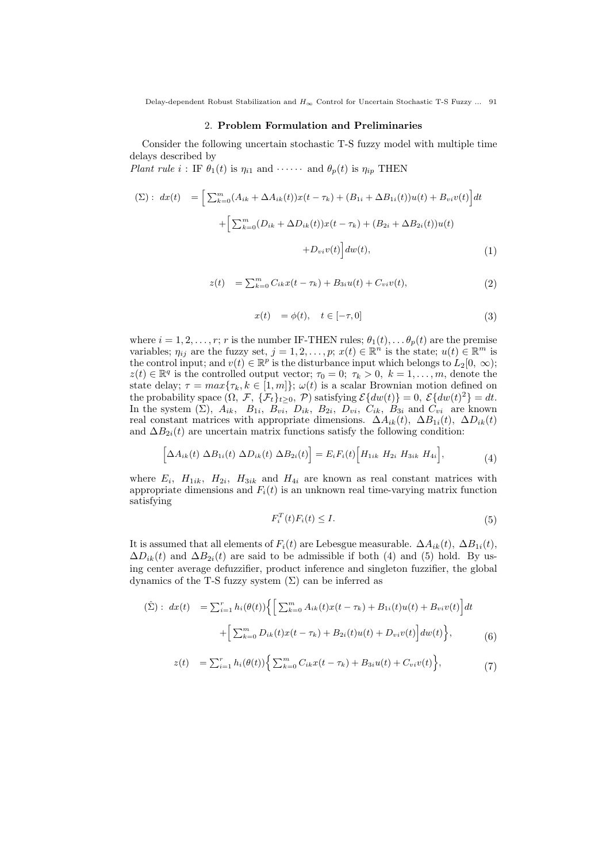Delay-dependent Robust Stabilization and *H<sup>∞</sup>* Control for Uncertain Stochastic T-S Fuzzy ... 91

#### 2. **Problem Formulation and Preliminaries**

Consider the following uncertain stochastic T-S fuzzy model with multiple time delays described by

*Plant rule*  $i$  : IF  $\theta_1(t)$  is  $\eta_{i1}$  and  $\cdots$  and  $\theta_p(t)$  is  $\eta_{ip}$  THEN

$$
\begin{aligned} \text{($\Sigma$)}: \ dx(t) &= \Big[ \sum_{k=0}^{m} (A_{ik} + \Delta A_{ik}(t))x(t - \tau_k) + (B_{1i} + \Delta B_{1i}(t))u(t) + B_{vi}v(t) \Big] dt \\ &+ \Big[ \sum_{k=0}^{m} (D_{ik} + \Delta D_{ik}(t))x(t - \tau_k) + (B_{2i} + \Delta B_{2i}(t))u(t) \\ &+ D_{vi}v(t) \Big] dw(t), \end{aligned} \tag{1}
$$

$$
z(t) = \sum_{k=0}^{m} C_{ik} x(t - \tau_k) + B_{3i} u(t) + C_{vi} v(t), \qquad (2)
$$

$$
x(t) = \phi(t), \quad t \in [-\tau, 0]
$$
\n
$$
(3)
$$

where  $i = 1, 2, \ldots, r$ ; *r* is the number IF-THEN rules;  $\theta_1(t), \ldots, \theta_p(t)$  are the premise variables;  $\eta_{ij}$  are the fuzzy set,  $j = 1, 2, \ldots, p$ ;  $x(t) \in \mathbb{R}^n$  is the state;  $u(t) \in \mathbb{R}^m$  is the control input; and  $v(t) \in \mathbb{R}^p$  is the disturbance input which belongs to  $L_2[0, \infty)$ ;  $z(t) \in \mathbb{R}^q$  is the controlled output vector;  $\tau_0 = 0$ ;  $\tau_k > 0$ ,  $k = 1, \ldots, m$ , denote the state delay;  $\tau = max{\lbrace \tau_k, k \in [1, m] \rbrace}$ ;  $\omega(t)$  is a scalar Brownian motion defined on the probability space  $(\Omega, \mathcal{F}, \{\mathcal{F}_t\}_{t\geq0}, \mathcal{P})$  satisfying  $\mathcal{E}\{\text{dw}(t)\} = 0, \mathcal{E}\{\text{dw}(t)^2\} = dt$ . In the system  $(\Sigma)$ ,  $A_{ik}$ ,  $B_{1i}$ ,  $B_{vi}$ ,  $D_{ik}$ ,  $B_{2i}$ ,  $D_{vi}$ ,  $C_{ik}$ ,  $B_{3i}$  and  $C_{vi}$  are known real constant matrices with appropriate dimensions.  $\Delta A_{ik}(t)$ ,  $\Delta B_{1i}(t)$ ,  $\Delta D_{ik}(t)$ and  $\Delta B_{2i}(t)$  are uncertain matrix functions satisfy the following condition:

$$
\[\Delta A_{ik}(t) \ \Delta B_{1i}(t) \ \Delta D_{ik}(t) \ \Delta B_{2i}(t)\] = E_i F_i(t) \Big[ H_{1ik} \ H_{2i} \ H_{3ik} \ H_{4i} \Big],\tag{4}
$$

where  $E_i$ ,  $H_{1ik}$ ,  $H_{2i}$ ,  $H_{3ik}$  and  $H_{4i}$  are known as real constant matrices with appropriate dimensions and  $F_i(t)$  is an unknown real time-varying matrix function satisfying

$$
F_i^T(t)F_i(t) \le I. \tag{5}
$$

It is assumed that all elements of  $F_i(t)$  are Lebesgue measurable.  $\Delta A_{ik}(t)$ ,  $\Delta B_{1i}(t)$ ,  $\Delta D_{ik}(t)$  and  $\Delta B_{2i}(t)$  are said to be admissible if both (4) and (5) hold. By using center average defuzzifier, product inference and singleton fuzzifier, the global dynamics of the T-S fuzzy system  $(\Sigma)$  can be inferred as

$$
(\hat{\Sigma}): dx(t) = \sum_{i=1}^{r} h_i(\theta(t)) \Big\{ \Big[ \sum_{k=0}^{m} A_{ik}(t) x(t - \tau_k) + B_{1i}(t) u(t) + B_{vi} v(t) \Big] dt + \Big[ \sum_{k=0}^{m} D_{ik}(t) x(t - \tau_k) + B_{2i}(t) u(t) + D_{vi} v(t) \Big] dw(t) \Big\},
$$
\n(6)

$$
z(t) = \sum_{i=1}^{r} h_i(\theta(t)) \Big\{ \sum_{k=0}^{m} C_{ik} x(t - \tau_k) + B_{3i} u(t) + C_{vi} v(t) \Big\},\tag{7}
$$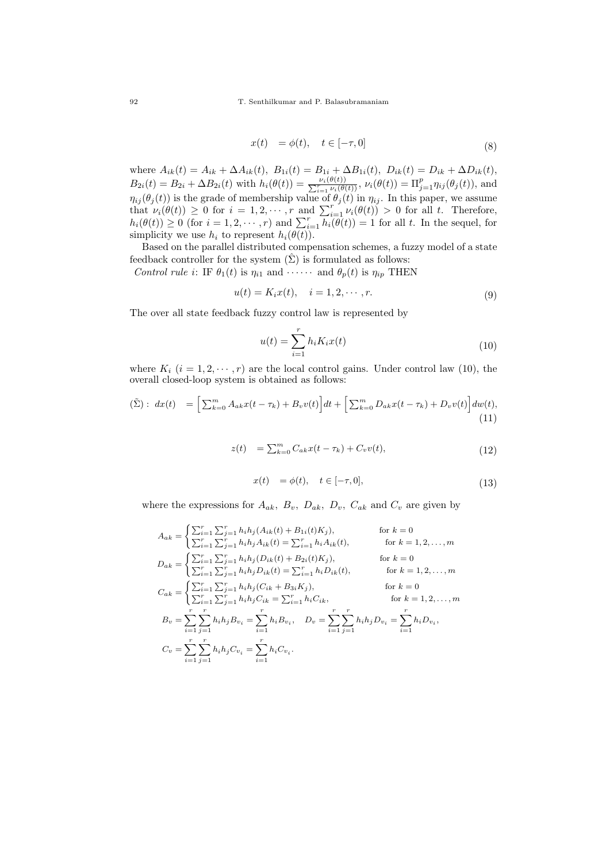$$
x(t) = \phi(t), \quad t \in [-\tau, 0]
$$
\n
$$
(8)
$$

where  $A_{ik}(t) = A_{ik} + \Delta A_{ik}(t)$ ,  $B_{1i}(t) = B_{1i} + \Delta B_{1i}(t)$ ,  $D_{ik}(t) = D_{ik} + \Delta D_{ik}(t)$ ,  $B_{2i}(t) = B_{2i} + \Delta B_{2i}(t)$  with  $h_i(\theta(t)) = \frac{\nu_i(\theta(t))}{\sum_{i=1}^r \nu_i(\theta(t))}, \nu_i(\theta(t)) = \prod_{j=1}^p \eta_{ij}(\theta_j(t)),$  and  $\eta_{ij}(\theta_j(t))$  is the grade of membership value of  $\theta_j(t)$  in  $\eta_{ij}$ . In this paper, we assume that  $\nu_i(\theta(t)) \geq 0$  for  $i = 1, 2, \dots, r$  and  $\sum_{i=1}^r \nu_i(\theta(t)) > 0$  for all *t*. Therefore,  $h_i(\theta(t)) \geq 0$  (for  $i = 1, 2, \dots, r$ ) and  $\sum_{i=1}^r \widetilde{h_i(\theta(t))} = 1$  for all *t*. In the sequel, for simplicity we use  $h_i$  to represent  $h_i(\theta(t))$ .

Based on the parallel distributed compensation schemes, a fuzzy model of a state feedback controller for the system  $(\hat{\Sigma})$  is formulated as follows:

*Control rule i*: IF  $\theta_1(t)$  is  $\eta_{i1}$  and  $\cdots \cdots$  and  $\theta_p(t)$  is  $\eta_{ip}$  THEN

$$
u(t) = K_i x(t), \quad i = 1, 2, \cdots, r.
$$
 (9)

The over all state feedback fuzzy control law is represented by

$$
u(t) = \sum_{i=1}^{r} h_i K_i x(t)
$$
\n(10)

where  $K_i$  ( $i = 1, 2, \dots, r$ ) are the local control gains. Under control law (10), the overall closed-loop system is obtained as follows:

$$
(\tilde{\Sigma}): dx(t) = \Big[\sum_{k=0}^{m} A_{ak}x(t-\tau_k) + B_v v(t)\Big]dt + \Big[\sum_{k=0}^{m} D_{ak}x(t-\tau_k) + D_v v(t)\Big]dw(t),
$$
\n(11)

$$
z(t) = \sum_{k=0}^{m} C_{ak}x(t - \tau_k) + C_v v(t),
$$
\n(12)

$$
x(t) = \phi(t), \quad t \in [-\tau, 0], \tag{13}
$$

where the expressions for  $A_{ak}$ ,  $B_{v}$ ,  $D_{ak}$ ,  $D_{v}$ ,  $C_{ak}$  and  $C_{v}$  are given by

$$
A_{ak} = \begin{cases} \sum_{i=1}^{r} \sum_{j=1}^{r} h_i h_j (A_{ik}(t) + B_{1i}(t) K_j), & \text{for } k = 0\\ \sum_{i=1}^{r} \sum_{j=1}^{r} h_i h_j A_{ik}(t) = \sum_{i=1}^{r} h_i A_{ik}(t), & \text{for } k = 1, 2, ..., m \end{cases}
$$
  
\n
$$
D_{ak} = \begin{cases} \sum_{i=1}^{r} \sum_{j=1}^{r} h_i h_j (D_{ik}(t) + B_{2i}(t) K_j), & \text{for } k = 0\\ \sum_{i=1}^{r} \sum_{j=1}^{r} h_i h_j D_{ik}(t) = \sum_{i=1}^{r} h_i D_{ik}(t), & \text{for } k = 1, 2, ..., m \end{cases}
$$
  
\n
$$
C_{ak} = \begin{cases} \sum_{i=1}^{r} \sum_{j=1}^{r} h_i h_j (C_{ik} + B_{3i} K_j), & \text{for } k = 0\\ \sum_{i=1}^{r} \sum_{j=1}^{r} h_i h_j C_{ik} = \sum_{i=1}^{r} h_i C_{ik}, & \text{for } k = 1, 2, ..., m \end{cases}
$$
  
\n
$$
B_v = \sum_{i=1}^{r} \sum_{j=1}^{r} h_i h_j B_{v_i} = \sum_{i=1}^{r} h_i B_{v_i}, \quad D_v = \sum_{i=1}^{r} \sum_{j=1}^{r} h_i h_j D_{v_i} = \sum_{i=1}^{r} h_i D_{v_i},
$$
  
\n
$$
C_v = \sum_{i=1}^{r} \sum_{j=1}^{r} h_i h_j C_{v_i} = \sum_{i=1}^{r} h_i C_{v_i}.
$$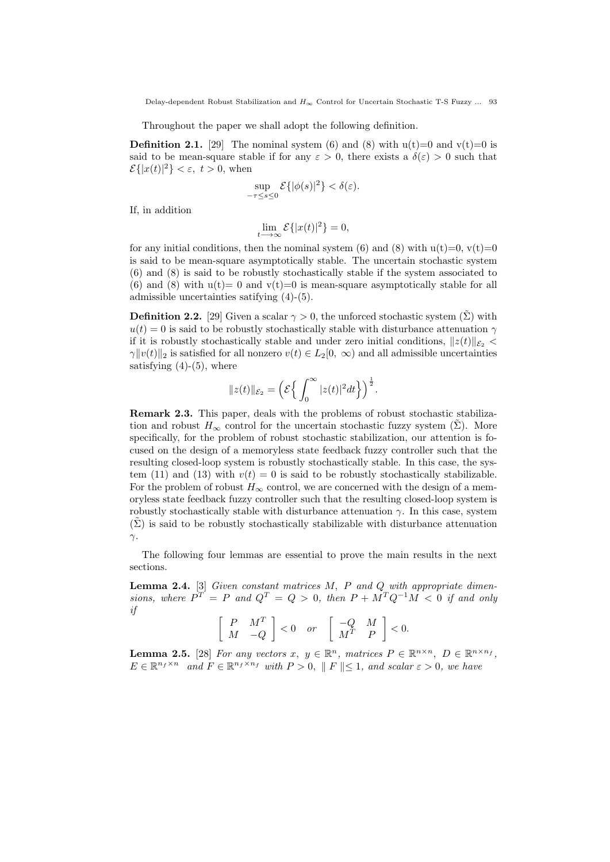Delay-dependent Robust Stabilization and *H<sup>∞</sup>* Control for Uncertain Stochastic T-S Fuzzy ... 93

Throughout the paper we shall adopt the following definition.

**Definition 2.1.** [29] The nominal system (6) and (8) with  $u(t)=0$  and  $v(t)=0$  is said to be mean-square stable if for any  $\varepsilon > 0$ , there exists a  $\delta(\varepsilon) > 0$  such that  $\mathcal{E}\{|x(t)|^2\}<\varepsilon$ ,  $t>0$ , when

$$
\sup_{-\tau \le s \le 0} \mathcal{E}\{|\phi(s)|^2\} < \delta(\varepsilon).
$$

If, in addition

$$
\lim_{t \to \infty} \mathcal{E}\{|x(t)|^2\} = 0,
$$

for any initial conditions, then the nominal system (6) and (8) with  $u(t)=0$ ,  $v(t)=0$ is said to be mean-square asymptotically stable. The uncertain stochastic system (6) and (8) is said to be robustly stochastically stable if the system associated to (6) and (8) with  $u(t)=0$  and  $v(t)=0$  is mean-square asymptotically stable for all admissible uncertainties satifying (4)-(5).

**Definition 2.2.** [29] Given a scalar  $\gamma > 0$ , the unforced stochastic system  $(\Sigma)$  with  $u(t) = 0$  is said to be robustly stochastically stable with disturbance attenuation  $\gamma$ if it is robustly stochastically stable and under zero initial conditions,  $||z(t)||_{\mathcal{E}_2}$ *γ* $||v(t)||_2$  is satisfied for all nonzero  $v(t) \in L_2[0, \infty)$  and all admissible uncertainties satisfying  $(4)-(5)$ , where

$$
||z(t)||_{\mathcal{E}_2} = \left(\mathcal{E}\Big\{\int_0^\infty |z(t)|^2 dt\Big\}\right)^{\frac{1}{2}}.
$$

**Remark 2.3.** This paper, deals with the problems of robust stochastic stabilization and robust  $H_{\infty}$  control for the uncertain stochastic fuzzy system  $(\Sigma)$ . More specifically, for the problem of robust stochastic stabilization, our attention is focused on the design of a memoryless state feedback fuzzy controller such that the resulting closed-loop system is robustly stochastically stable. In this case, the system (11) and (13) with  $v(t) = 0$  is said to be robustly stochastically stabilizable. For the problem of robust  $H_{\infty}$  control, we are concerned with the design of a memoryless state feedback fuzzy controller such that the resulting closed-loop system is robustly stochastically stable with disturbance attenuation  $\gamma$ . In this case, system  $(\Sigma)$  is said to be robustly stochastically stabilizable with disturbance attenuation *γ*.

The following four lemmas are essential to prove the main results in the next sections.

**Lemma 2.4.** [3] *Given constant matrices M, P and Q with appropriate dimensions, where*  $P^T = P$  *and*  $Q^T = Q > 0$ *, then*  $P + M^T Q^{-1} M < 0$  *if and only if*

$$
\left[\begin{array}{cc} P & M^T \\ M & -Q \end{array}\right] < 0 \quad \text{or} \quad \left[\begin{array}{cc} -Q & M \\ M^T & P \end{array}\right] < 0.
$$

**Lemma 2.5.** [28] *For any vectors*  $x, y \in \mathbb{R}^n$ *, matrices*  $P \in \mathbb{R}^{n \times n}$ *, D*  $\in \mathbb{R}^{n \times n}$ *f*  $E \in \mathbb{R}^{n_f \times n}$  and  $F \in \mathbb{R}^{n_f \times n_f}$  with  $P > 0$ ,  $\| F \| \leq 1$ , and scalar  $\varepsilon > 0$ , we have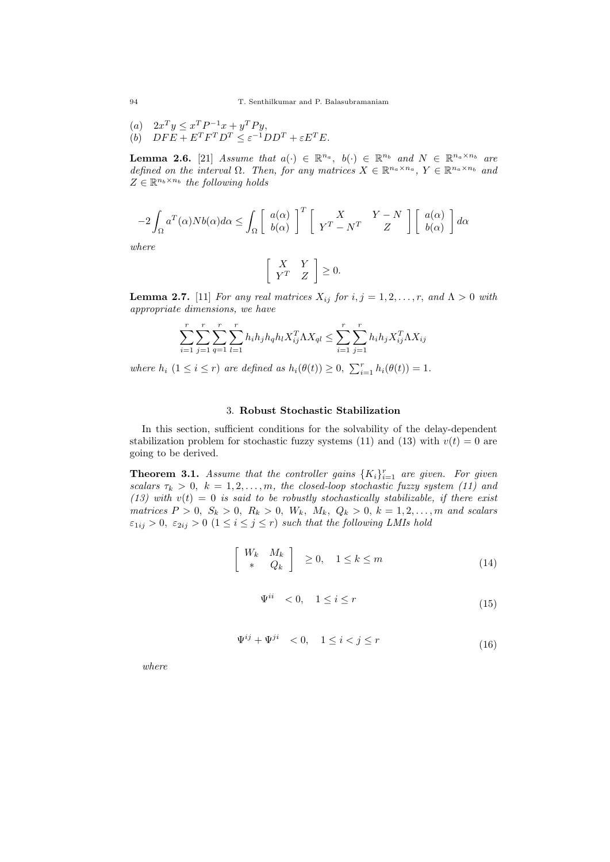- $(a)$   $2x^T y \leq x^T P^{-1} x + y^T P y,$
- $(b)$   $DF E + E^T F^T D^T \leq \varepsilon^{-1} D D^T + \varepsilon E^T E.$

**Lemma 2.6.** [21] *Assume that*  $a(\cdot) \in \mathbb{R}^{n_a}$ ,  $b(\cdot) \in \mathbb{R}^{n_b}$  and  $N \in \mathbb{R}^{n_a \times n_b}$  are *defined on the interval*  $\Omega$ *. Then, for any matrices*  $X \in \mathbb{R}^{n_a \times n_a}$ ,  $Y \in \mathbb{R}^{n_a \times n_b}$  and  $Z \in \mathbb{R}^{n_b \times n_b}$  the following holds

$$
-2\int_{\Omega}a^T(\alpha)Nb(\alpha)d\alpha\leq\int_{\Omega}\left[\begin{array}{c}a(\alpha)\\b(\alpha)\end{array}\right]^T\left[\begin{array}{cc}X&Y-N\\Y^T-N^T&Z\end{array}\right]\left[\begin{array}{c}a(\alpha)\\b(\alpha)\end{array}\right]d\alpha
$$

*where*

$$
\left[\begin{array}{cc} X & Y \\ Y^T & Z \end{array}\right] \geq 0.
$$

**Lemma 2.7.** [11] *For any real matrices*  $X_{ij}$  *for*  $i, j = 1, 2, \ldots, r$ , and  $\Lambda > 0$  with *appropriate dimensions, we have*

$$
\sum_{i=1}^{r} \sum_{j=1}^{r} \sum_{q=1}^{r} \sum_{l=1}^{r} h_i h_j h_q h_l X_{ij}^T \Lambda X_{ql} \le \sum_{i=1}^{r} \sum_{j=1}^{r} h_i h_j X_{ij}^T \Lambda X_{ij}
$$

*where*  $h_i$  (1 ≤ *i* ≤ *r*) *are defined as*  $h_i(\theta(t)) \ge 0$ ,  $\sum_{i=1}^r h_i(\theta(t)) = 1$ .

## 3. **Robust Stochastic Stabilization**

In this section, sufficient conditions for the solvability of the delay-dependent stabilization problem for stochastic fuzzy systems (11) and (13) with  $v(t) = 0$  are going to be derived.

**Theorem 3.1.** *Assume that the controller gains*  $\{K_i\}_{i=1}^r$  *are given. For given scalars*  $\tau_k > 0$ ,  $k = 1, 2, \ldots, m$ , the closed-loop stochastic fuzzy system (11) and (13) with  $v(t) = 0$  *is said to be robustly stochastically stabilizable, if there exist matrices*  $P > 0$ ,  $S_k > 0$ ,  $R_k > 0$ ,  $W_k$ ,  $M_k$ ,  $Q_k > 0$ ,  $k = 1, 2, ..., m$  and scalars  $\varepsilon_{1ij} > 0$ ,  $\varepsilon_{2ij} > 0$   $(1 \leq i \leq j \leq r)$  *such that the following LMIs hold* 

$$
\begin{bmatrix} W_k & M_k \\ * & Q_k \end{bmatrix} \ge 0, \quad 1 \le k \le m \tag{14}
$$

$$
\Psi^{ii} < 0, \quad 1 \le i \le r \tag{15}
$$

$$
\Psi^{ij} + \Psi^{ji} < 0, \quad 1 \le i < j \le r \tag{16}
$$

*where*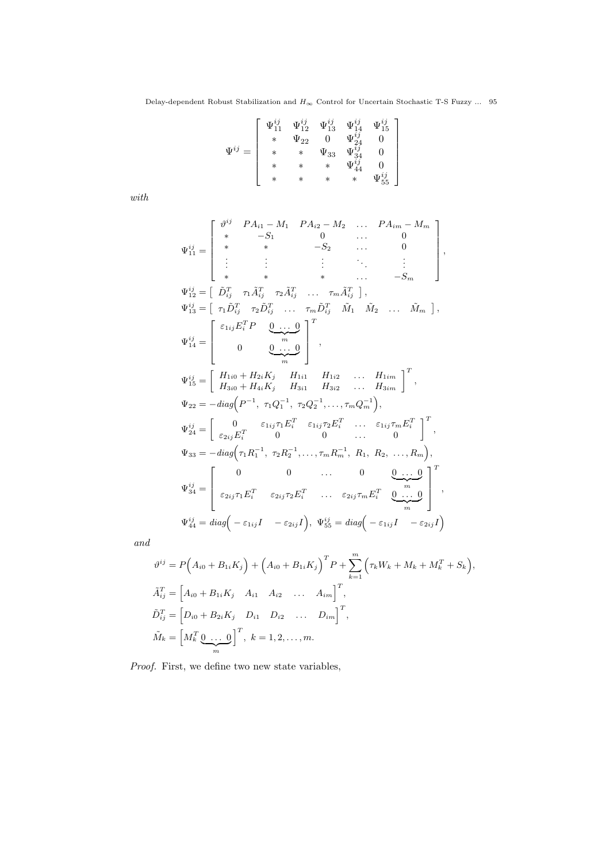$$
\Psi^{ij}=\left[\begin{array}{cccc} \Psi_{11}^{ij}&\Psi_{12}^{ij}&\Psi_{13}^{ij}&\Psi_{14}^{ij}&\Psi_{15}^{ij}\\ *&\Psi_{22}&0&\Psi_{24}^{ij}&0\\ *&*&\Psi_{33}&\Psi_{34}^{ij}&0\\ *&*&*&\Psi_{44}^{ij}&0\\ *&*&*&*&\Psi_{55}^{ij} \end{array}\right]
$$

*with*

$$
\Psi_{11}^{ij} = \begin{bmatrix}\n\vartheta^{ij} & P A_{i1} - M_1 & P A_{i2} - M_2 & \dots & P A_{im} - M_m \\
* & -S_1 & 0 & \dots & 0 \\
* & * & -S_2 & \dots & 0 \\
\vdots & \vdots & \vdots & \ddots & \vdots \\
* & * & * & \dots & -S_m\n\end{bmatrix},
$$
\n
$$
\Psi_{12}^{ij} = \begin{bmatrix}\n\tilde{D}_{ij}^T & \tau_1 \tilde{A}_{ij}^T & \tau_2 \tilde{A}_{ij}^T & \dots & \tau_m \tilde{A}_{ij}^T\n\end{bmatrix},
$$
\n
$$
\Psi_{13}^{ij} = \begin{bmatrix}\n\tau_1 \tilde{D}_{ij}^T & \tau_2 \tilde{D}_{ij}^T & \dots & \tau_m \tilde{D}_{ij}^T & \tilde{M}_1 & \tilde{M}_2 & \dots & \tilde{M}_m\n\end{bmatrix},
$$
\n
$$
\Psi_{14}^{ij} = \begin{bmatrix}\n\epsilon_{1ij} E_i^T P & \underbrace{0 \dots 0}_{m} \\
0 & \underbrace{0 \dots 0}_{m} \\
H_{3i0} + H_{4i} K_j & H_{1i1} & H_{1i2} & \dots & H_{1im} \\
H_{22} = -diag\left(P^{-1}, \tau_1 Q_1^{-1}, \tau_2 Q_2^{-1}, \dots, \tau_m Q_m^{-1}\right),
$$
\n
$$
\Psi_{24}^{ij} = \begin{bmatrix}\n0 & \epsilon_{1ij} \tau_1 E_i^T & \epsilon_{1ij} \tau_2 E_i^T & \dots & \epsilon_{1ij} \tau_m E_i^T \\
\epsilon_{2ij} E_i^T & 0 & 0 & \dots & 0\n\end{bmatrix}^T,
$$
\n
$$
\Psi_{33} = -diag\left(\tau_1 R_1^{-1}, \tau_2 R_2^{-1}, \dots, \tau_m R_m^{-1}, R_1, R_2, \dots, R_m\right),
$$
\n
$$
\Psi_{34}^{ij} = \begin{bmatrix}\n0 & 0 & \dots & 0 & \underbrace{0 \dots 0}_{\epsilon_{2ij} \tau_1 E_i^T} & \underbrace{0 \dots 0}_{\epsilon_{2ij} \tau_2 E_i^T} & \dots & \epsilon_{2ij} \tau_m E_i^T & \underbrace{0 \
$$

*and*

$$
\vartheta^{ij} = P(A_{i0} + B_{1i}K_j) + (A_{i0} + B_{1i}K_j)^T P + \sum_{k=1}^m (\tau_k W_k + M_k + M_k^T + S_k),
$$
  
\n
$$
\tilde{A}_{ij}^T = [A_{i0} + B_{1i}K_j \quad A_{i1} \quad A_{i2} \quad \dots \quad A_{im}]^T,
$$
  
\n
$$
\tilde{D}_{ij}^T = [D_{i0} + B_{2i}K_j \quad D_{i1} \quad D_{i2} \quad \dots \quad D_{im}]^T,
$$
  
\n
$$
\tilde{M}_k = [M_k^T \underbrace{0 \quad \dots \quad 0}_{m}]^T, \quad k = 1, 2, \dots, m.
$$

*Proof.* First, we define two new state variables,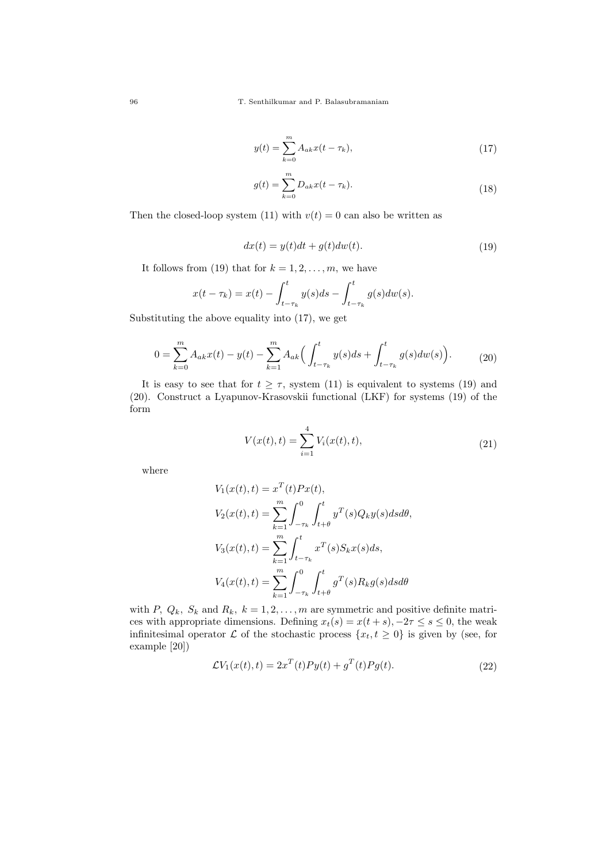96 T. Senthilkumar and P. Balasubramaniam

$$
y(t) = \sum_{k=0}^{m} A_{ak} x(t - \tau_k),
$$
\n(17)

$$
g(t) = \sum_{k=0}^{m} D_{ak}x(t - \tau_k).
$$
 (18)

Then the closed-loop system (11) with  $v(t) = 0$  can also be written as

$$
dx(t) = y(t)dt + g(t)dw(t).
$$
\n(19)

It follows from (19) that for  $k = 1, 2, \ldots, m$ , we have

$$
x(t - \tau_k) = x(t) - \int_{t - \tau_k}^t y(s)ds - \int_{t - \tau_k}^t g(s)dw(s).
$$

Substituting the above equality into (17), we get

$$
0 = \sum_{k=0}^{m} A_{ak}x(t) - y(t) - \sum_{k=1}^{m} A_{ak} \left( \int_{t-\tau_k}^{t} y(s)ds + \int_{t-\tau_k}^{t} g(s)dw(s) \right).
$$
 (20)

It is easy to see that for  $t \geq \tau$ , system (11) is equivalent to systems (19) and (20). Construct a Lyapunov-Krasovskii functional (LKF) for systems (19) of the form

$$
V(x(t),t) = \sum_{i=1}^{4} V_i(x(t),t),
$$
\n(21)

where

$$
V_1(x(t), t) = x^T(t)Px(t),
$$
  
\n
$$
V_2(x(t), t) = \sum_{k=1}^m \int_{-\tau_k}^0 \int_{t+\theta}^t y^T(s)Q_ky(s)dsd\theta,
$$
  
\n
$$
V_3(x(t), t) = \sum_{k=1}^m \int_{t-\tau_k}^t x^T(s)S_kx(s)ds,
$$
  
\n
$$
V_4(x(t), t) = \sum_{k=1}^m \int_{-\tau_k}^0 \int_{t+\theta}^t g^T(s)R_kg(s)dsd\theta
$$

with *P*,  $Q_k$ *,*  $S_k$  and  $R_k$ *,*  $k = 1, 2, \ldots, m$  are symmetric and positive definite matrices with appropriate dimensions. Defining  $x_t(s) = x(t+s)$ ,  $-2\tau \le s \le 0$ , the weak infinitesimal operator  $\mathcal L$  of the stochastic process  $\{x_t, t \geq 0\}$  is given by (see, for example [20])

$$
\mathcal{L}V_1(x(t),t) = 2x^T(t)Py(t) + g^T(t)Pg(t).
$$
\n(22)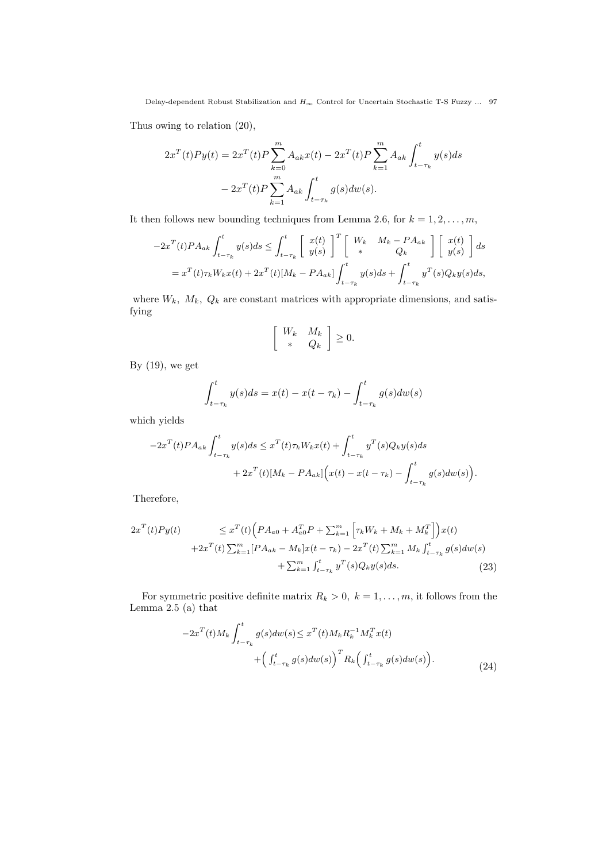Delay-dependent Robust Stabilization and  $H_\infty$  Control for Uncertain Stochastic T-S Fuzzy  $\ldots$  97

Thus owing to relation (20),

$$
2x^{T}(t)Py(t) = 2x^{T}(t)P \sum_{k=0}^{m} A_{ak}x(t) - 2x^{T}(t)P \sum_{k=1}^{m} A_{ak} \int_{t-\tau_{k}}^{t} y(s)ds
$$

$$
- 2x^{T}(t)P \sum_{k=1}^{m} A_{ak} \int_{t-\tau_{k}}^{t} g(s)dw(s).
$$

It then follows new bounding techniques from Lemma 2.6, for  $k = 1, 2, \ldots, m$ ,

$$
-2x^{T}(t)PA_{ak}\int_{t-\tau_{k}}^{t}y(s)ds \leq \int_{t-\tau_{k}}^{t}\begin{bmatrix}x(t)\\y(s)\end{bmatrix}^{T}\begin{bmatrix}W_{k} & M_{k}-PA_{ak}\\* & Q_{k}\end{bmatrix}\begin{bmatrix}x(t)\\y(s)\end{bmatrix}ds
$$
  
=  $x^{T}(t)\tau_{k}W_{k}x(t) + 2x^{T}(t)[M_{k}-PA_{ak}]\int_{t-\tau_{k}}^{t}y(s)ds + \int_{t-\tau_{k}}^{t}y^{T}(s)Q_{k}y(s)ds,$ 

where  $W_k$ ,  $M_k$ ,  $Q_k$  are constant matrices with appropriate dimensions, and satisfying

$$
\left[\begin{array}{cc} W_k & M_k \\ * & Q_k \end{array}\right] \ge 0.
$$

By  $(19)$ , we get

$$
\int_{t-\tau_k}^t y(s)ds = x(t) - x(t-\tau_k) - \int_{t-\tau_k}^t g(s)dw(s)
$$

which yields

$$
-2x^{T}(t)PA_{ak}\int_{t-\tau_{k}}^{t}y(s)ds \leq x^{T}(t)\tau_{k}W_{k}x(t) + \int_{t-\tau_{k}}^{t}y^{T}(s)Q_{k}y(s)ds
$$
  
+ 
$$
2x^{T}(t)[M_{k}-PA_{ak}]\Big(x(t)-x(t-\tau_{k})-\int_{t-\tau_{k}}^{t}g(s)dw(s)\Big).
$$

Therefore,

$$
2x^{T}(t)Py(t) \leq x^{T}(t)\left(PA_{a0} + A_{a0}^{T}P + \sum_{k=1}^{m} \left[\tau_{k}W_{k} + M_{k} + M_{k}^{T}\right]\right)x(t)
$$

$$
+2x^{T}(t)\sum_{k=1}^{m} [PA_{ak} - M_{k}]x(t-\tau_{k}) - 2x^{T}(t)\sum_{k=1}^{m} M_{k} \int_{t-\tau_{k}}^{t} g(s)dw(s)
$$

$$
+ \sum_{k=1}^{m} \int_{t-\tau_{k}}^{t} y^{T}(s)Q_{k}y(s)ds.
$$
(23)

For symmetric positive definite matrix  $R_k > 0$ ,  $k = 1, \ldots, m$ , it follows from the Lemma $2.5$  (a) that

$$
-2x^{T}(t)M_{k}\int_{t-\tau_{k}}^{t}g(s)dw(s) \leq x^{T}(t)M_{k}R_{k}^{-1}M_{k}^{T}x(t) + \left(\int_{t-\tau_{k}}^{t}g(s)dw(s)\right)^{T}R_{k}\left(\int_{t-\tau_{k}}^{t}g(s)dw(s)\right).
$$
\n(24)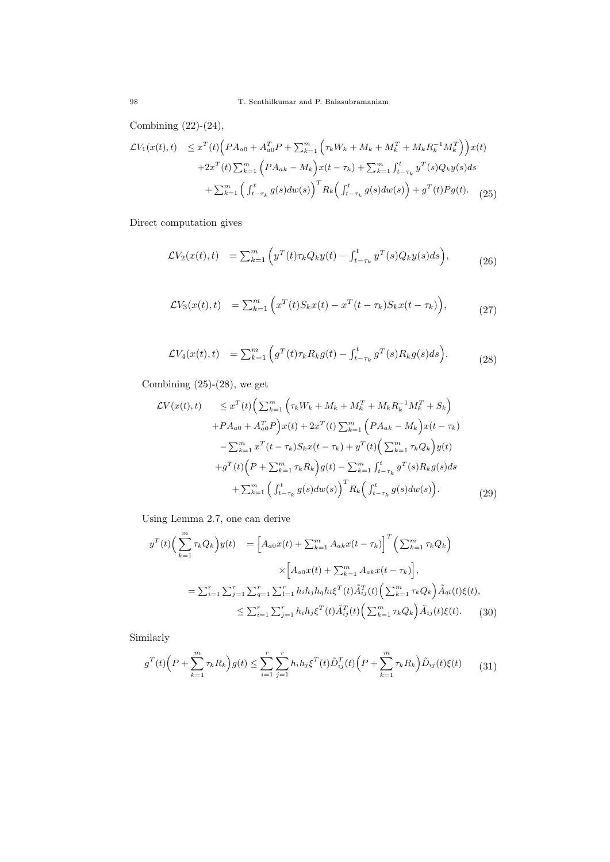Combining (22)-(24),

$$
\mathcal{L}V_{1}(x(t),t) \leq x^{T}(t) \Big( P A_{a0} + A_{a0}^{T} P + \sum_{k=1}^{m} \Big( \tau_{k} W_{k} + M_{k} + M_{k}^{T} + M_{k} R_{k}^{-1} M_{k}^{T} \Big) \Big) x(t) \n+ 2x^{T}(t) \sum_{k=1}^{m} \Big( P A_{ak} - M_{k} \Big) x(t - \tau_{k}) + \sum_{k=1}^{m} \int_{t-\tau_{k}}^{t} y^{T}(s) Q_{k} y(s) ds \n+ \sum_{k=1}^{m} \Big( \int_{t-\tau_{k}}^{t} g(s) dw(s) \Big)^{T} R_{k} \Big( \int_{t-\tau_{k}}^{t} g(s) dw(s) \Big) + g^{T}(t) P g(t).
$$
\n(25)

Direct computation gives

$$
\mathcal{L}V_2(x(t),t) = \sum_{k=1}^m \left( y^T(t)\tau_k Q_k y(t) - \int_{t-\tau_k}^t y^T(s)Q_k y(s)ds \right), \tag{26}
$$

$$
\mathcal{L}V_3(x(t),t) = \sum_{k=1}^m \left( x^T(t)S_k x(t) - x^T(t-\tau_k)S_k x(t-\tau_k) \right), \tag{27}
$$

$$
\mathcal{L}V_4(x(t),t) = \sum_{k=1}^m \left( g^T(t)\tau_k R_k g(t) - \int_{t-\tau_k}^t g^T(s)R_k g(s)ds \right).
$$
 (28)

Combining  $(25)-(28)$ , we get

$$
\mathcal{L}V(x(t),t) \leq x^{T}(t) \Big( \sum_{k=1}^{m} \Big( \tau_{k}W_{k} + M_{k} + M_{k}^{T} + M_{k}R_{k}^{-1}M_{k}^{T} + S_{k} \Big) \n+ P A_{a0} + A_{a0}^{T}P \Big) x(t) + 2x^{T}(t) \sum_{k=1}^{m} \Big( P A_{ak} - M_{k} \Big) x(t - \tau_{k}) \n- \sum_{k=1}^{m} x^{T}(t - \tau_{k}) S_{k} x(t - \tau_{k}) + y^{T}(t) \Big( \sum_{k=1}^{m} \tau_{k}Q_{k} \Big) y(t) \n+ g^{T}(t) \Big( P + \sum_{k=1}^{m} \tau_{k}R_{k} \Big) g(t) - \sum_{k=1}^{m} \int_{t - \tau_{k}}^{t} g^{T}(s) R_{k} g(s) ds \n+ \sum_{k=1}^{m} \Big( \int_{t - \tau_{k}}^{t} g(s) dw(s) \Big)^{T} R_{k} \Big( \int_{t - \tau_{k}}^{t} g(s) dw(s) \Big). \tag{29}
$$

Using Lemma 2.7, one can derive

$$
y^{T}(t) \Big( \sum_{k=1}^{m} \tau_{k} Q_{k} \Big) y(t) = \Big[ A_{a0} x(t) + \sum_{k=1}^{m} A_{ak} x(t - \tau_{k}) \Big]^{T} \Big( \sum_{k=1}^{m} \tau_{k} Q_{k} \Big)
$$
  

$$
\times \Big[ A_{a0} x(t) + \sum_{k=1}^{m} A_{ak} x(t - \tau_{k}) \Big],
$$
  

$$
= \sum_{i=1}^{r} \sum_{j=1}^{r} \sum_{q=1}^{r} \sum_{l=1}^{r} h_{i} h_{j} h_{q} h_{l} \xi^{T}(t) \tilde{A}_{ij}^{T}(t) \Big( \sum_{k=1}^{m} \tau_{k} Q_{k} \Big) \tilde{A}_{ql}(t) \xi(t),
$$
  

$$
\leq \sum_{i=1}^{r} \sum_{j=1}^{r} h_{i} h_{j} \xi^{T}(t) \tilde{A}_{ij}^{T}(t) \Big( \sum_{k=1}^{m} \tau_{k} Q_{k} \Big) \tilde{A}_{ij}(t) \xi(t). \tag{30}
$$

Similarly

$$
g^{T}(t)\Big(P+\sum_{k=1}^{m}\tau_{k}R_{k}\Big)g(t)\leq\sum_{i=1}^{r}\sum_{j=1}^{r}h_{i}h_{j}\xi^{T}(t)\tilde{D}_{ij}^{T}(t)\Big(P+\sum_{k=1}^{m}\tau_{k}R_{k}\Big)\tilde{D}_{ij}(t)\xi(t)\qquad(31)
$$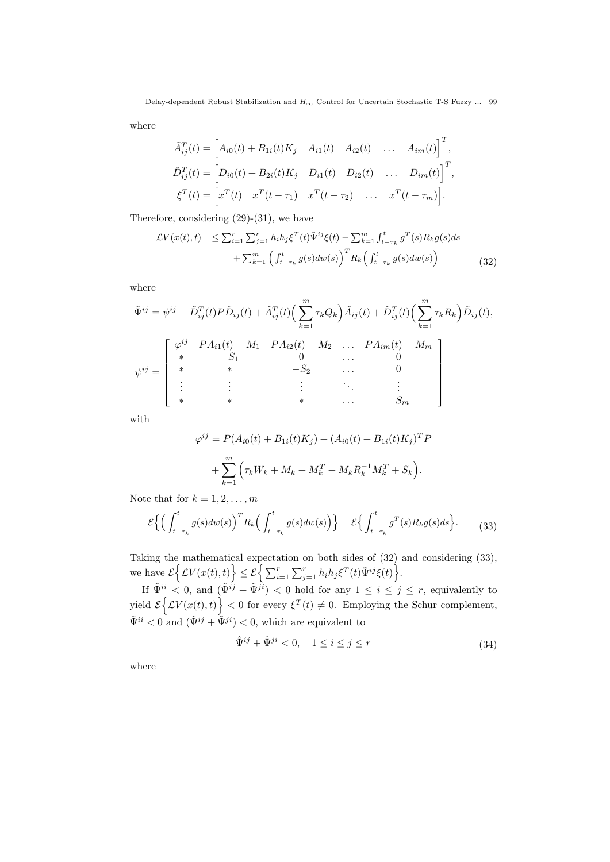where

$$
\tilde{A}_{ij}^T(t) = \begin{bmatrix} A_{i0}(t) + B_{1i}(t)K_j & A_{i1}(t) & A_{i2}(t) & \dots & A_{im}(t) \end{bmatrix}^T,
$$
  
\n
$$
\tilde{D}_{ij}^T(t) = \begin{bmatrix} D_{i0}(t) + B_{2i}(t)K_j & D_{i1}(t) & D_{i2}(t) & \dots & D_{im}(t) \end{bmatrix}^T,
$$
  
\n
$$
\xi^T(t) = \begin{bmatrix} x^T(t) & x^T(t - \tau_1) & x^T(t - \tau_2) & \dots & x^T(t - \tau_m) \end{bmatrix}.
$$

Therefore, considering (29)-(31), we have

$$
\mathcal{L}V(x(t),t) \leq \sum_{i=1}^{r} \sum_{j=1}^{r} h_i h_j \xi^T(t) \tilde{\Psi}^{ij} \xi(t) - \sum_{k=1}^{m} \int_{t-\tau_k}^{t} g^T(s) R_k g(s) ds \n+ \sum_{k=1}^{m} \left( \int_{t-\tau_k}^{t} g(s) dw(s) \right)^T R_k \left( \int_{t-\tau_k}^{t} g(s) dw(s) \right)
$$
\n(32)

where

$$
\tilde{\Psi}^{ij} = \psi^{ij} + \tilde{D}_{ij}^{T}(t)P\tilde{D}_{ij}(t) + \tilde{A}_{ij}^{T}(t)\left(\sum_{k=1}^{m} \tau_{k} Q_{k}\right)\tilde{A}_{ij}(t) + \tilde{D}_{ij}^{T}(t)\left(\sum_{k=1}^{m} \tau_{k} R_{k}\right)\tilde{D}_{ij}(t),
$$
\n
$$
\psi^{ij} = \begin{bmatrix}\n\varphi^{ij} & PA_{i1}(t) - M_{1} & PA_{i2}(t) - M_{2} & \dots & PA_{im}(t) - M_{m} \\
* & -S_{1} & 0 & \dots & 0 \\
* & * & -S_{2} & \dots & 0 \\
\vdots & \vdots & \vdots & \ddots & \vdots \\
* & * & * & \dots & -S_{m}\n\end{bmatrix}
$$

with

$$
\varphi^{ij} = P(A_{i0}(t) + B_{1i}(t)K_j) + (A_{i0}(t) + B_{1i}(t)K_j)^T P
$$

$$
+ \sum_{k=1}^m \left(\tau_k W_k + M_k + M_k^T + M_k R_k^{-1} M_k^T + S_k\right).
$$

Note that for  $k = 1, 2, ..., m$ 

$$
\mathcal{E}\left\{ \left( \int_{t-\tau_k}^t g(s)dw(s) \right)^T R_k \left( \int_{t-\tau_k}^t g(s)dw(s) \right) \right\} = \mathcal{E}\left\{ \int_{t-\tau_k}^t g^T(s)R_k g(s)ds \right\}.
$$
 (33)

Taking the mathematical expectation on both sides of (32) and considering (33),  $\mathcal{E}\left\{\mathcal{L}V(x(t),t)\right\} \leq \mathcal{E}\left\{\sum_{i=1}^r\sum_{j=1}^r h_i h_j \xi^T(t) \tilde{\Psi}^{ij}\xi(t)\right\}.$ 

If  $\tilde{\Psi}^{ii} < 0$ , and  $(\tilde{\Psi}^{ij} + \tilde{\Psi}^{ji}) < 0$  hold for any  $1 \leq i \leq j \leq r$ , equivalently to yield  $\mathcal{E}\left\{\mathcal{L}V(x(t),t)\right\} < 0$  for every  $\xi^{T}(t) \neq 0$ . Employing the Schur complement,  $\tilde{\Psi}^{ii} < 0$  and  $(\tilde{\Psi}^{ij} + \tilde{\Psi}^{ji}) < 0$ , which are equivalent to

$$
\hat{\Psi}^{ij} + \hat{\Psi}^{ji} < 0, \quad 1 \le i \le j \le r \tag{34}
$$

where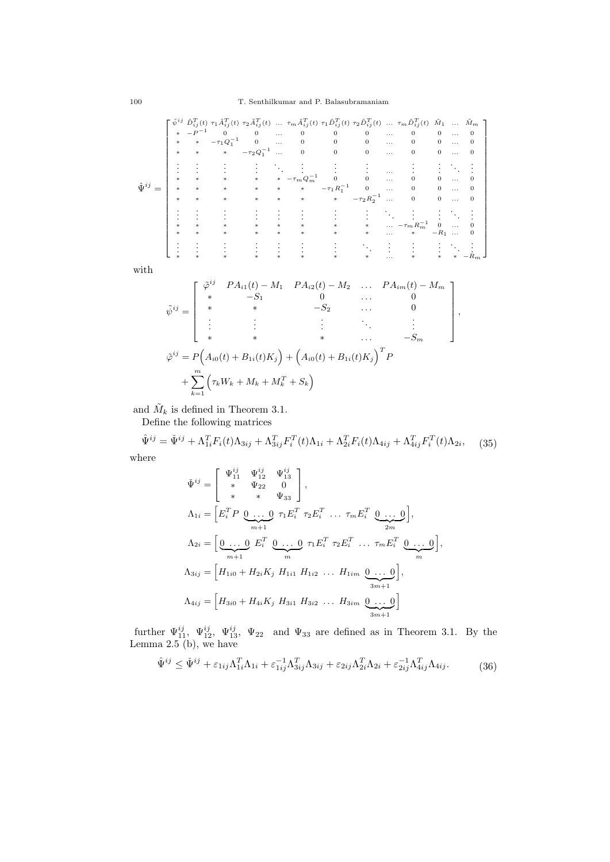| $\hat{\mathbf{u}}^{ij}$ | $\ast$ | $\ast$ | $\ast$ $-P^{-1}$ 0 0<br>* $-\tau_1 Q_1^{-1}$<br>$\ast$ | $\overline{\mathbf{0}}$<br>$-\tau_2 Q_1^{-1}$ | <b>Contractor</b> | $\mathbf{0}$<br><b>Contractor</b><br>$\mathbf{0}$<br>$\mathbf{0}$                                                                                                                                                                                                                          | $\begin{matrix} 0 && 0 \\ 0 && 0 \end{matrix}$<br>$\overline{0}$ | $\mathbf{0}$<br>$\mathbf{0}$ | <b>SALE</b><br><b>Contractor</b><br>$\sim$ | $\begin{bmatrix} \tilde{\psi}^{ij} & \tilde{D}_{ij}^T(t) & \tau_1 \tilde{A}_{ij}^T(t) & \tau_2 \tilde{A}_{ij}^T(t) & \dots & \tau_m \tilde{A}_{ij}^T(t) & \tau_1 \tilde{D}_{ij}^T(t) & \tau_2 \tilde{D}_{ij}^T(t) & \dots & \tau_m \tilde{D}_{ij}^T(t) & \tilde{M}_1 & \dots & \tilde{M}_m \end{bmatrix}$<br>$\boldsymbol{0}$<br>$\mathbf{0}$ | $\theta$<br>$\mathbf{0}$<br>$\theta$ | $\cdots$ | 0 |
|-------------------------|--------|--------|--------------------------------------------------------|-----------------------------------------------|-------------------|--------------------------------------------------------------------------------------------------------------------------------------------------------------------------------------------------------------------------------------------------------------------------------------------|------------------------------------------------------------------|------------------------------|--------------------------------------------|-----------------------------------------------------------------------------------------------------------------------------------------------------------------------------------------------------------------------------------------------------------------------------------------------------------------------------------------------|--------------------------------------|----------|---|
|                         |        |        |                                                        | $*$ *                                         |                   | $\begin{array}{ccccccccc} \cdot & \cdot & \cdot & \cdot & \cdot & \cdot & \cdot & \cdot \\ \cdot & \cdot & \cdot & \cdot & \cdot & \cdot & \cdot & \cdot \\ \ast & \ast & \ast & \ast & \ast & \ast & \ast & \ast \\ \ast & \ast & \ast & \ast & \ast & \ast & \ast \end{array}$<br>$\ast$ | $-\tau_1 R_1^{-1}$ 0<br>$\ast$                                   | $-\tau_2 R_2^{-1}$           |                                            | $\mathbf{0}$                                                                                                                                                                                                                                                                                                                                  | $\mathbf{0}$                         |          |   |
|                         |        |        |                                                        |                                               |                   | $\ast$<br>*                                                                                                                                                                                                                                                                                | $\ast$                                                           | $\ast$                       | $\cdots$                                   | $\mathcal{L}(\mathcal{L})$ and $\mathcal{L}(\mathcal{L})$<br>$\ldots$ $-\tau_m R_m^{-1}$                                                                                                                                                                                                                                                      | $\theta$<br>$-R_1$                   |          |   |
|                         |        |        |                                                        |                                               |                   |                                                                                                                                                                                                                                                                                            |                                                                  |                              |                                            |                                                                                                                                                                                                                                                                                                                                               |                                      |          |   |

with

$$
\tilde{\psi}^{ij} = \begin{bmatrix}\n\tilde{\varphi}^{ij} & PA_{i1}(t) - M_1 & PA_{i2}(t) - M_2 & \dots & PA_{im}(t) - M_m \\
* & -S_1 & 0 & \dots & 0 \\
* & * & -S_2 & \dots & 0 \\
\vdots & \vdots & \vdots & \ddots & \vdots \\
* & * & * & \dots & -S_m\n\end{bmatrix},
$$
\n
$$
\tilde{\varphi}^{ij} = P\Big(A_{i0}(t) + B_{1i}(t)K_j\Big) + \Big(A_{i0}(t) + B_{1i}(t)K_j\Big)^T P
$$
\n
$$
+ \sum_{k=1}^m \Big(\tau_k W_k + M_k + M_k^T + S_k\Big)
$$

and  $\tilde{M}_k$  is defined in Theorem 3.1.

Define the following matrices

$$
\hat{\Psi}^{ij} = \check{\Psi}^{ij} + \Lambda_{1i}^T F_i(t) \Lambda_{3ij} + \Lambda_{3ij}^T F_i^T(t) \Lambda_{1i} + \Lambda_{2i}^T F_i(t) \Lambda_{4ij} + \Lambda_{4ij}^T F_i^T(t) \Lambda_{2i}, \quad (35)
$$

where

$$
\check{\Psi}^{ij} = \begin{bmatrix} \Psi_{11}^{ij} & \Psi_{12}^{ij} & \Psi_{13}^{ij} \\ * & \Psi_{22} & 0 \\ * & * & \Psi_{33} \end{bmatrix},
$$
  
\n
$$
\Lambda_{1i} = \begin{bmatrix} E_i^T P & 0 & \dots & 0 \\ \dots & \dots & 0 & \tau_1 E_i^T & \tau_2 E_i^T & \dots & \tau_m E_i^T & 0 \dots & 0 \end{bmatrix},
$$
  
\n
$$
\Lambda_{2i} = \begin{bmatrix} 0 & \dots & 0 & E_i^T & 0 & \dots & 0 \\ \dots & \dots & 0 & E_i^T & \dots & \tau_m E_i^T & 0 & \dots & 0 \end{bmatrix},
$$
  
\n
$$
\Lambda_{3ij} = \begin{bmatrix} H_{1i0} + H_{2i} K_j & H_{1i1} & H_{1i2} & \dots & H_{1im} & 0 & \dots & 0 \\ H_{3i0} + H_{4i} K_j & H_{3i1} & H_{3i2} & \dots & H_{3im} & 0 & \dots & 0 \end{bmatrix},
$$

further  $\Psi_{11}^{ij}$ ,  $\Psi_{12}^{ij}$ ,  $\Psi_{13}^{ij}$ ,  $\Psi_{22}$  and  $\Psi_{33}$  are defined as in Theorem 3.1. By the Lemma 2.5 (b), we have

$$
\hat{\Psi}^{ij} \le \check{\Psi}^{ij} + \varepsilon_{1ij} \Lambda_{1i}^T \Lambda_{1i} + \varepsilon_{1ij}^{-1} \Lambda_{3ij}^T \Lambda_{3ij} + \varepsilon_{2ij} \Lambda_{2i}^T \Lambda_{2i} + \varepsilon_{2ij}^{-1} \Lambda_{4ij}^T \Lambda_{4ij}.
$$
 (36)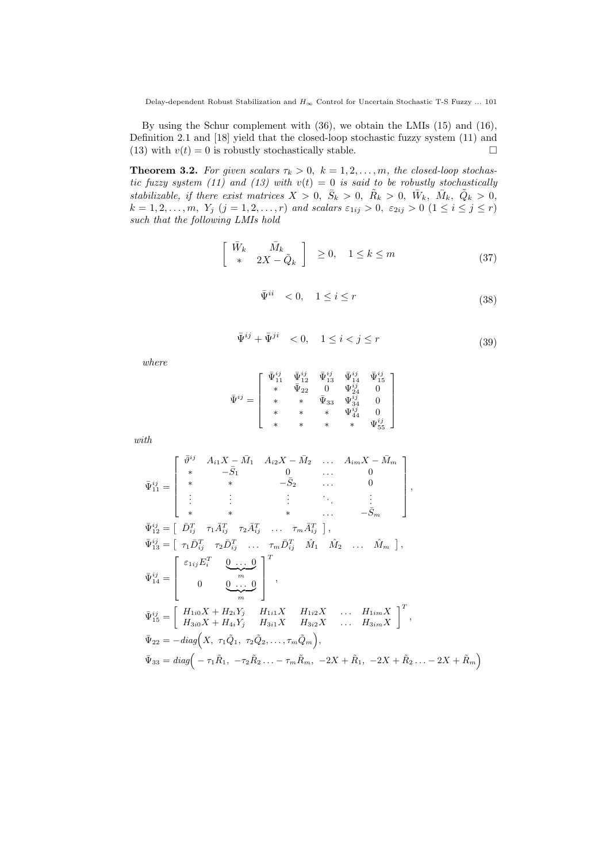Delay-dependent Robust Stabilization and  $H_\infty$  Control for Uncertain Stochastic T-S Fuzzy  $\ldots$  101

By using the Schur complement with (36), we obtain the LMIs (15) and (16), Definition 2.1 and [18] yield that the closed-loop stochastic fuzzy system (11) and (13) with  $v(t) = 0$  is robustly stochastically stable.

**Theorem 3.2.** For given scalars  $\tau_k > 0$ ,  $k = 1, 2, \ldots, m$ , the closed-loop stochas*tic fuzzy system (11) and (13) with*  $v(t) = 0$  *is said to be robustly stochastically* stabilizable, if there exist matrices  $X > 0$ ,  $\bar{S}_k > 0$ ,  $\tilde{R}_k > 0$ ,  $\bar{W}_k$ ,  $\bar{M}_k$ ,  $\tilde{Q}_k > 0$ ,  $k = 1, 2, \ldots, m, Y_j$   $(j = 1, 2, \ldots, r)$  and scalars  $\varepsilon_{1ij} > 0$ ,  $\varepsilon_{2ij} > 0$   $(1 \le i \le j \le r)$ *such that the following LMIs hold*

$$
\begin{bmatrix} \bar{W}_k & \bar{M}_k \\ * & 2X - \tilde{Q}_k \end{bmatrix} \ge 0, \quad 1 \le k \le m \tag{37}
$$

$$
\bar{\Psi}^{ii} < 0, \quad 1 \le i \le r \tag{38}
$$

$$
\bar{\Psi}^{ij} + \bar{\Psi}^{ji} < 0, \quad 1 \le i < j \le r \tag{39}
$$

*where*

$$
\bar{\Psi}^{ij}=\left[\begin{array}{cccc} \bar{\Psi}_{11}^{ij}&\bar{\Psi}_{12}^{ij}&\bar{\Psi}_{13}^{ij}&\bar{\Psi}_{14}^{ij}&\bar{\Psi}_{15}^{ij}\\ *&\bar{\Psi}_{22}&0&\Psi_{12}^{ij}&0\\ *&*&\bar{\Psi}_{33}&\Psi_{34}^{ij}&0\\ *&*&*&\bar{\Psi}_{44}^{ij}&0\\ *&*&*&*&\bar{\Psi}_{55}^{ij} \end{array}\right]
$$

*with*

$$
\bar{\Psi}_{11}^{ij} = \begin{bmatrix}\n\bar{\vartheta}^{ij} & A_{i1}X - \bar{M}_{1} & A_{i2}X - \bar{M}_{2} & \dots & A_{im}X - \bar{M}_{m} \\
* & -\bar{S}_{1} & 0 & \dots & 0 \\
* & * & -\bar{S}_{2} & \dots & 0 \\
\vdots & \vdots & \vdots & \ddots & \vdots \\
* & * & * & \dots & -\bar{S}_{m}\n\end{bmatrix},
$$
\n
$$
\bar{\Psi}_{12}^{ij} = \begin{bmatrix}\n\bar{D}_{ij}^{T} & \tau_{1}\bar{A}_{ij}^{T} & \tau_{2}\bar{A}_{ij}^{T} & \dots & \tau_{m}\bar{A}_{ij}^{T}\n\end{bmatrix},
$$
\n
$$
\bar{\Psi}_{13}^{ij} = \begin{bmatrix}\n\tau_{1}\bar{D}_{ij}^{T} & \tau_{2}\bar{D}_{ij}^{T} & \dots & \tau_{m}\bar{D}_{ij}^{T} & \hat{M}_{1} & \hat{M}_{2} & \dots & \hat{M}_{m}\n\end{bmatrix},
$$
\n
$$
\bar{\Psi}_{14}^{ij} = \begin{bmatrix}\n\epsilon_{1ij}E_{i}^{T} & 0 & \dots & 0 \\
0 & 0 & \dots & 0 \\
0 & 0 & \dots & 0 \\
H_{10}X + H_{2i}Y_{j} & H_{1i1}X & H_{1i2}X & \dots & H_{1im}X \\
H_{3i0}X + H_{4i}Y_{j} & H_{3i1}X & H_{3i2}X & \dots & H_{3im}X\n\end{bmatrix}^{T},
$$
\n
$$
\bar{\Psi}_{22} = -diag(X, \tau_{1}\bar{Q}_{1}, \tau_{2}\bar{Q}_{2}, \dots, \tau_{m}\bar{Q}_{m}),
$$
\n
$$
\bar{\Psi}_{33} = diag(-\tau_{1}\tilde{R}_{1}, -\tau_{2}\tilde{R}_{2} & \dots -\tau_{m}\tilde{R}_{m}, -2X + \tilde{R}_{1}, -2X + \tilde{R}_{2} & \dots -2X + \tilde{R}_{m})
$$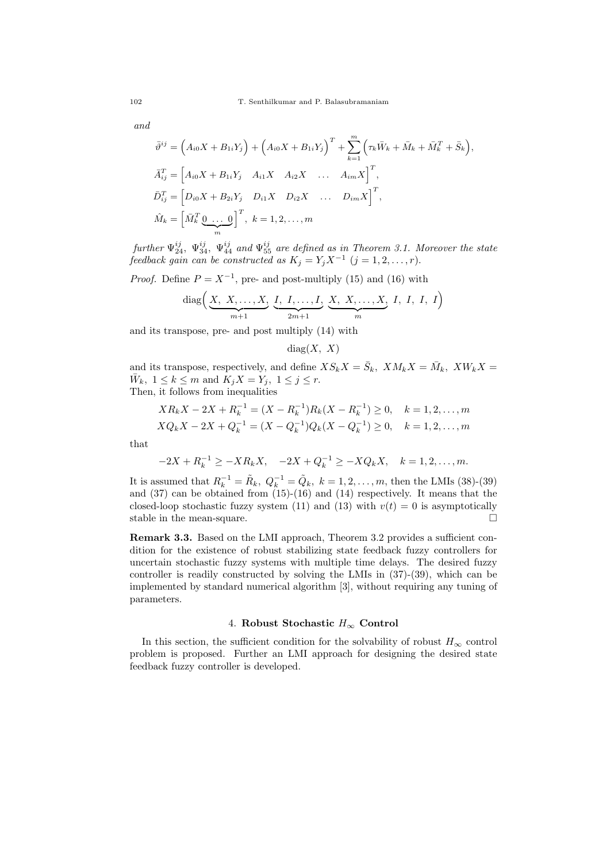*and*

$$
\bar{\vartheta}^{ij} = (A_{i0}X + B_{1i}Y_j) + (A_{i0}X + B_{1i}Y_j)^T + \sum_{k=1}^{m} (\tau_k \bar{W}_k + \bar{M}_k + \bar{M}_k^T + \bar{S}_k),
$$
  
\n
$$
\bar{A}_{ij}^T = [A_{i0}X + B_{1i}Y_j \quad A_{i1}X \quad A_{i2}X \quad \dots \quad A_{im}X]^T,
$$
  
\n
$$
\bar{D}_{ij}^T = [D_{i0}X + B_{2i}Y_j \quad D_{i1}X \quad D_{i2}X \quad \dots \quad D_{im}X]^T,
$$
  
\n
$$
\hat{M}_k = [\bar{M}_k^T \underbrace{0 \dots 0}_{m}]^T, \quad k = 1, 2, \dots, m
$$

*further*  $\Psi_{24}^{ij}$ ,  $\Psi_{34}^{ij}$ ,  $\Psi_{44}^{ij}$  and  $\Psi_{55}^{ij}$  are defined as in Theorem 3.1. Moreover the state *feedback gain can be constructed as*  $K_j = Y_j X^{-1}$   $(j = 1, 2, \ldots, r)$ *.* 

*Proof.* Define  $P = X^{-1}$ , pre- and post-multiply (15) and (16) with

diag
$$
\left(\underbrace{X, X, \dots, X}_{m+1}, \underbrace{I, I, \dots, I}_{2m+1}, \underbrace{X, X, \dots, X}_{m}, I, I, I, I \right)
$$

and its transpose, pre- and post multiply (14) with

 $diag(X, X)$ 

and its transpose, respectively, and define  $XS_kX = \overline{S}_k$ ,  $XM_kX = \overline{M}_k$ ,  $XW_kX =$  $\bar{W}_k$ ,  $1 \leq k \leq m$  and  $K_j X = Y_j$ ,  $1 \leq j \leq r$ . Then, it follows from inequalities

$$
XR_kX - 2X + R_k^{-1} = (X - R_k^{-1})R_k(X - R_k^{-1}) \ge 0, \quad k = 1, 2, ..., m
$$
  

$$
XQ_kX - 2X + Q_k^{-1} = (X - Q_k^{-1})Q_k(X - Q_k^{-1}) \ge 0, \quad k = 1, 2, ..., m
$$

that

$$
-2X + R_k^{-1} \ge -XR_kX, \quad -2X + Q_k^{-1} \ge -XQ_kX, \quad k = 1, 2, \dots, m.
$$

It is assumed that  $R_k^{-1} = \tilde{R}_k$ ,  $Q_k^{-1} = \tilde{Q}_k$ ,  $k = 1, 2, ..., m$ , then the LMIs (38)-(39) and (37) can be obtained from (15)-(16) and (14) respectively. It means that the closed-loop stochastic fuzzy system (11) and (13) with  $v(t) = 0$  is asymptotically stable in the mean-square.  $\Box$ 

**Remark 3.3.** Based on the LMI approach, Theorem 3.2 provides a sufficient condition for the existence of robust stabilizing state feedback fuzzy controllers for uncertain stochastic fuzzy systems with multiple time delays. The desired fuzzy controller is readily constructed by solving the LMIs in (37)-(39), which can be implemented by standard numerical algorithm [3], without requiring any tuning of parameters.

# 4. **Robust Stochastic** *H<sup>∞</sup>* **Control**

In this section, the sufficient condition for the solvability of robust  $H_{\infty}$  control problem is proposed. Further an LMI approach for designing the desired state feedback fuzzy controller is developed.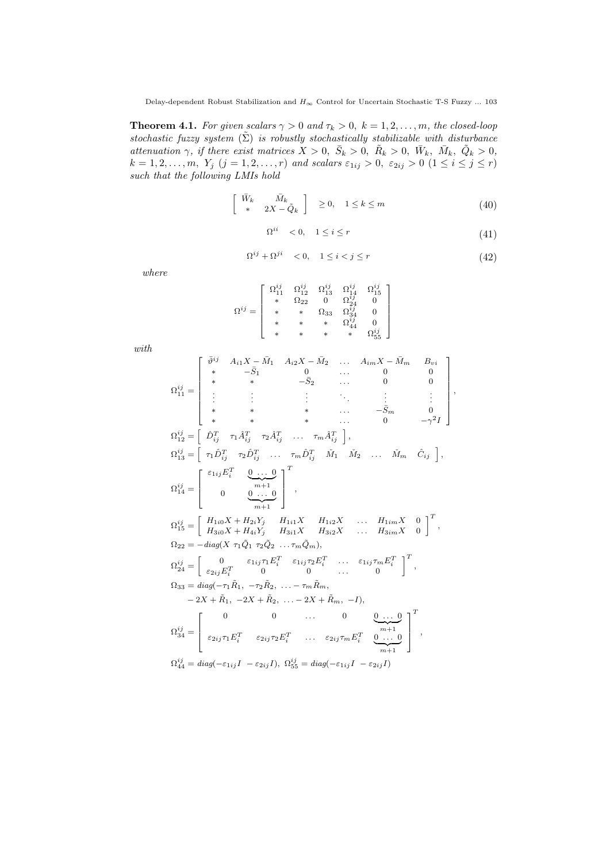**Theorem 4.1.** *For given scalars*  $\gamma > 0$  *and*  $\tau_k > 0$ ,  $k = 1, 2, ..., m$ *, the closed-loop stochastic fuzzy system*  $(\Sigma)$  *is robustly stochastically stabilizable with disturbance* attenuation  $\gamma$ , if there exist matrices  $X > 0$ ,  $\bar{S}_k > 0$ ,  $\bar{R}_k > 0$ ,  $\bar{W}_k$ ,  $\bar{M}_k$ ,  $\tilde{Q}_k > 0$ ,  $k = 1, 2, \ldots, m, Y_j$   $(j = 1, 2, \ldots, r)$  and scalars  $\varepsilon_{1ij} > 0$ ,  $\varepsilon_{2ij} > 0$   $(1 \le i \le j \le r)$ *such that the following LMIs hold*

$$
\begin{bmatrix} \bar{W}_k & \bar{M}_k \\ * & 2X - \tilde{Q}_k \end{bmatrix} \geq 0, \quad 1 \leq k \leq m \tag{40}
$$

$$
\Omega^{ii} < 0, \quad 1 \le i \le r \tag{41}
$$

$$
\Omega^{ij} + \Omega^{ji} < 0, \quad 1 \le i < j \le r \tag{42}
$$

*where*

$$
\Omega^{ij} = \left[ \begin{array}{ccccc} \Omega_{11}^{ij} & \Omega_{12}^{ij} & \Omega_{13}^{ij} & \Omega_{14}^{ij} & \Omega_{15}^{ij} \\ * & \Omega_{22} & 0 & \Omega_{24}^{ij} & 0 \\ * & * & \Omega_{33} & \Omega_{34}^{ij} & 0 \\ * & * & * & \Omega_{44}^{ij} & 0 \\ * & * & * & * & \Omega_{55}^{ij} \end{array} \right]
$$

*with*

$$
\Omega_{11}^{ij} = \begin{bmatrix}\n\bar{\vartheta}^{ij} & A_{i1}X - \bar{M}_{1} & A_{i2}X - \bar{M}_{2} & \dots & A_{im}X - \bar{M}_{m} & B_{vi} \\
* & -\bar{S}_{1} & 0 & \dots & 0 & 0 \\
* & * & -\bar{S}_{2} & \dots & 0 & 0 \\
* & * & -\bar{S}_{2} & \dots & 0 & 0 \\
* & * & * & \dots & \bar{S}_{m} & 0 \\
* & * & * & \dots & -\bar{S}_{m} & 0 \\
* & * & * & \dots & 0 & -\gamma^{2}I\n\end{bmatrix},
$$
\n
$$
\Omega_{12}^{ij} = \begin{bmatrix}\n\hat{D}_{ij}^{T} & \tau_{1}\hat{A}_{ij}^{T} & \tau_{2}\hat{A}_{ij}^{T} & \dots & \tau_{m}\hat{A}_{ij}^{T}\n\end{bmatrix},
$$
\n
$$
\Omega_{13}^{ij} = \begin{bmatrix}\n\tau_{1} \hat{D}_{ij}^{T} & \tau_{2} \hat{D}_{ij}^{T} & \dots & \tau_{m} \hat{D}_{ij}^{T} & \bar{M}_{1} & \bar{M}_{2} & \dots & \bar{M}_{m} & \hat{C}_{ij}\n\end{bmatrix},
$$
\n
$$
\Omega_{14}^{ij} = \begin{bmatrix}\n\epsilon_{1ij} E_{i}^{T} & 0 & \dots & 0 \\
0 & 0 & \dots & 0 \\
0 & 0 & \dots & 0 \\
\vdots & \ddots & \ddots & \ddots & H_{1n}X & 0 \\
0 & 0 & \dots & 0 \\
\frac{\alpha_{11}}{m+1} & 0\n\end{bmatrix}^{T},
$$
\n
$$
\Omega_{22} = -diag(X \tau_{1}\hat{Q}_{1} \tau_{2}\hat{Q}_{2} \dots \tau_{m}\hat{Q}_{m}),
$$
\n
$$
\Omega_{23}^{ij} = \begin{bmatrix}\nH_{1i0}X + H_{2i}Y_{j} & H_{1i1}X & H_{1i2}X & \dots & H_{1im}X & 0 \\
H_{30}X + H_{4i}Y_{j} & H_{3i1}X & H_{3i2}X & \dots & H_{3im}X & 0 \\
\tau_{24}^{ij} = \begin{bmatrix}\n0 & 0 & \dots & 0 & 0 &
$$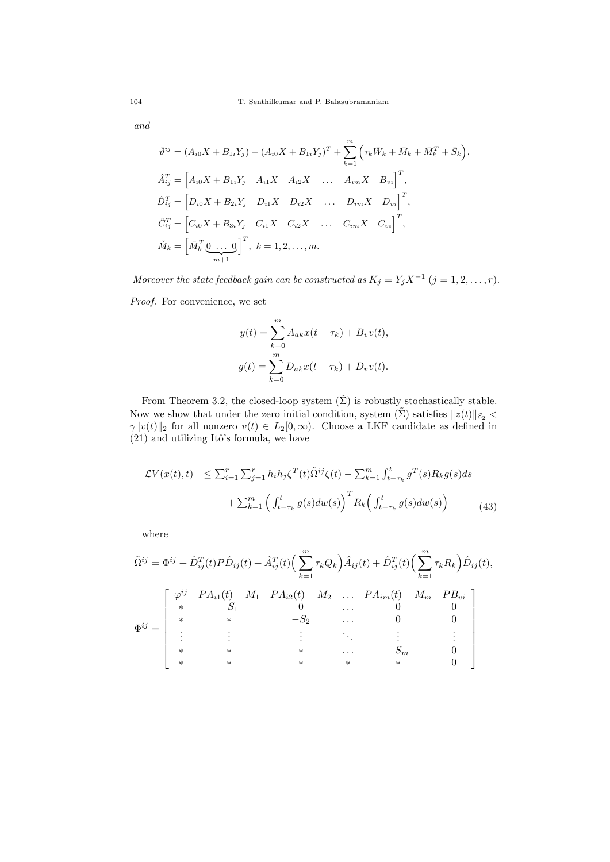*and*

$$
\bar{\vartheta}^{ij} = (A_{i0}X + B_{1i}Y_j) + (A_{i0}X + B_{1i}Y_j)^T + \sum_{k=1}^m (\tau_k \bar{W}_k + \bar{M}_k + \bar{M}_k^T + \bar{S}_k),
$$
  
\n
$$
\hat{A}_{ij}^T = [A_{i0}X + B_{1i}Y_j \quad A_{i1}X \quad A_{i2}X \quad \dots \quad A_{im}X \quad B_{vi}]^T,
$$
  
\n
$$
\hat{D}_{ij}^T = [D_{i0}X + B_{2i}Y_j \quad D_{i1}X \quad D_{i2}X \quad \dots \quad D_{im}X \quad D_{vi}]^T,
$$
  
\n
$$
\hat{C}_{ij}^T = [C_{i0}X + B_{3i}Y_j \quad C_{i1}X \quad C_{i2}X \quad \dots \quad C_{im}X \quad C_{vi}]^T,
$$
  
\n
$$
\check{M}_k = [\bar{M}_k^T \underbrace{0 \quad \dots \quad 0}_{m+1}]^T, \quad k = 1, 2, \dots, m.
$$

*Moreover the state feedback gain can be constructed as*  $K_j = Y_j X^{-1}$   $(j = 1, 2, \ldots, r)$ *.* 

*Proof.* For convenience, we set

$$
y(t) = \sum_{k=0}^{m} A_{ak}x(t - \tau_k) + B_v v(t),
$$
  

$$
g(t) = \sum_{k=0}^{m} D_{ak}x(t - \tau_k) + D_v v(t).
$$

From Theorem 3.2, the closed-loop system  $(\tilde{\Sigma})$  is robustly stochastically stable. Now we show that under the zero initial condition, system  $(\tilde{\Sigma})$  satisfies  $||z(t)||_{\mathcal{E}_2}$  < *γ* $|\psi(t)|_2$  for all nonzero  $v(t) \in L_2[0, \infty)$ . Choose a LKF candidate as defined in  $(21)$  and utilizing Itô's formula, we have

$$
\mathcal{L}V(x(t),t) \leq \sum_{i=1}^{r} \sum_{j=1}^{r} h_i h_j \zeta^T(t) \tilde{\Omega}^{ij} \zeta(t) - \sum_{k=1}^{m} \int_{t-\tau_k}^{t} g^T(s) R_k g(s) ds
$$

$$
+ \sum_{k=1}^{m} \left( \int_{t-\tau_k}^{t} g(s) dw(s) \right)^T R_k \left( \int_{t-\tau_k}^{t} g(s) dw(s) \right) \tag{43}
$$

where

$$
\tilde{\Omega}^{ij} = \Phi^{ij} + \hat{D}_{ij}^T(t)P\hat{D}_{ij}(t) + \hat{A}_{ij}^T(t) \left(\sum_{k=1}^m \tau_k Q_k\right) \hat{A}_{ij}(t) + \hat{D}_{ij}^T(t) \left(\sum_{k=1}^m \tau_k R_k\right) \hat{D}_{ij}(t),
$$
\n
$$
\Phi^{ij} = \begin{bmatrix}\n\varphi^{ij} & PA_{i1}(t) - M_1 & PA_{i2}(t) - M_2 & \dots & PA_{im}(t) - M_m & PB_{vi} \\
* & -S_1 & 0 & \dots & 0 & 0 \\
* & * & -S_2 & \dots & 0 & 0 \\
\vdots & \vdots & \vdots & \ddots & \vdots & \vdots \\
* & * & * & \dots & -S_m & 0 \\
* & * & * & * & * & 0\n\end{bmatrix}
$$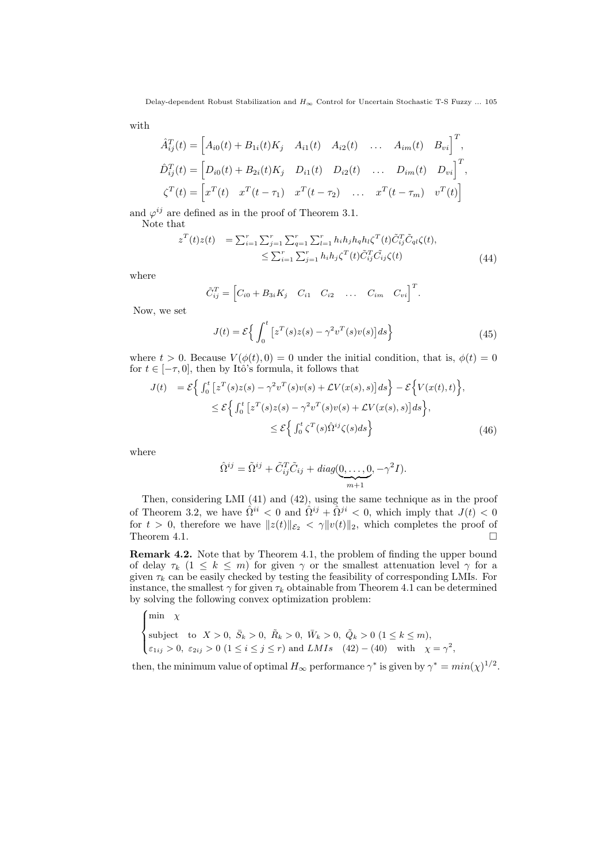with

$$
\hat{A}_{ij}^T(t) = \begin{bmatrix} A_{i0}(t) + B_{1i}(t)K_j & A_{i1}(t) & A_{i2}(t) & \dots & A_{im}(t) & B_{vi} \end{bmatrix}^T,
$$
  
\n
$$
\hat{D}_{ij}^T(t) = \begin{bmatrix} D_{i0}(t) + B_{2i}(t)K_j & D_{i1}(t) & D_{i2}(t) & \dots & D_{im}(t) & D_{vi} \end{bmatrix}^T,
$$
  
\n
$$
\zeta^T(t) = \begin{bmatrix} x^T(t) & x^T(t - \tau_1) & x^T(t - \tau_2) & \dots & x^T(t - \tau_m) & v^T(t) \end{bmatrix}
$$

and  $\varphi^{ij}$  are defined as in the proof of Theorem 3.1.

Note that

$$
z^{T}(t)z(t) = \sum_{i=1}^{r} \sum_{j=1}^{r} \sum_{q=1}^{r} \sum_{l=1}^{r} h_{i}h_{j}h_{q}h_{l}\zeta^{T}(t)\tilde{C}_{ij}^{T}\tilde{C}_{ql}\zeta(t),
$$
  

$$
\leq \sum_{i=1}^{r} \sum_{j=1}^{r} h_{i}h_{j}\zeta^{T}(t)\tilde{C}_{ij}^{T}\tilde{C}_{ij}\zeta(t)
$$
(44)

where

$$
\tilde{C}_{ij}^T = \begin{bmatrix} C_{i0} + B_{3i}K_j & C_{i1} & C_{i2} & \dots & C_{im} & C_{vi} \end{bmatrix}^T.
$$

Now, we set

$$
J(t) = \mathcal{E}\left\{\int_0^t \left[z^T(s)z(s) - \gamma^2 v^T(s)v(s)\right]ds\right\}
$$
\n(45)

where  $t > 0$ . Because  $V(\phi(t), 0) = 0$  under the initial condition, that is,  $\phi(t) = 0$ for  $t \in [-\tau, 0]$ , then by Itô's formula, it follows that

$$
J(t) = \mathcal{E}\Big\{\int_0^t \left[z^T(s)z(s) - \gamma^2 v^T(s)v(s) + \mathcal{L}V(x(s),s)\right]ds\Big\} - \mathcal{E}\Big\{V(x(t),t)\Big\},\
$$
  

$$
\leq \mathcal{E}\Big\{\int_0^t \left[z^T(s)z(s) - \gamma^2 v^T(s)v(s) + \mathcal{L}V(x(s),s)\right]ds\Big\},\
$$
  

$$
\leq \mathcal{E}\Big\{\int_0^t \zeta^T(s)\hat{\Omega}^{ij}\zeta(s)ds\Big\}
$$
(46)

where

$$
\hat{\Omega}^{ij} = \tilde{\Omega}^{ij} + \tilde{C}_{ij}^T \tilde{C}_{ij} + diag(\underbrace{0, \dots, 0}_{m+1}, -\gamma^2 I).
$$

Then, considering LMI (41) and (42), using the same technique as in the proof of Theorem 3.2, we have  $\hat{\Omega}^{ii} < 0$  and  $\hat{\Omega}^{ij} + \hat{\Omega}^{ji} < 0$ , which imply that  $J(t) < 0$ for *t* > 0, therefore we have  $||z(t)||_{\mathcal{E}_2} < \gamma ||v(t)||_2$ , which completes the proof of Theorem 4.1. Theorem 4.1.

**Remark 4.2.** Note that by Theorem 4.1, the problem of finding the upper bound of delay  $\tau_k$  (1  $\leq$  *k*  $\leq$  *m*) for given  $\gamma$  or the smallest attenuation level  $\gamma$  for a given  $\tau_k$  can be easily checked by testing the feasibility of corresponding LMIs. For instance, the smallest  $\gamma$  for given  $\tau_k$  obtainable from Theorem 4.1 can be determined by solving the following convex optimization problem:

$$
\begin{cases}\n\min \quad \chi \\
\text{subject to} \quad X > 0, \ \bar{S}_k > 0, \ \bar{R}_k > 0, \ \bar{W}_k > 0, \ \tilde{Q}_k > 0 \ (1 \leq k \leq m), \\
\varepsilon_{1ij} > 0, \ \varepsilon_{2ij} > 0 \ (1 \leq i \leq j \leq r) \ \text{and} \ LMIs \quad (42) - (40) \quad \text{with} \quad \chi = \gamma^2,\n\end{cases}
$$

then, the minimum value of optimal  $H_{\infty}$  performance  $\gamma^*$  is given by  $\gamma^* = min(\chi)^{1/2}$ .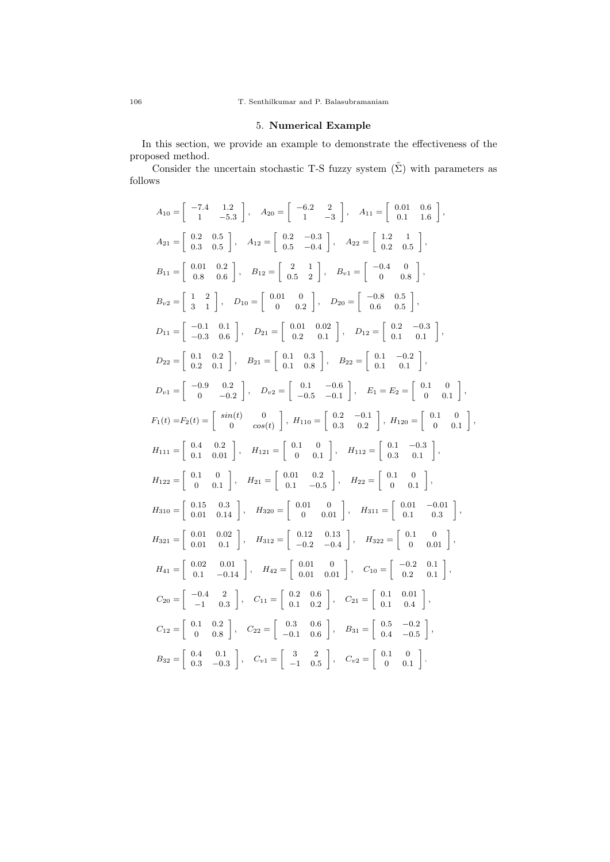# 5. **Numerical Example**

In this section, we provide an example to demonstrate the effectiveness of the proposed method.

Consider the uncertain stochastic T-S fuzzy system  $(\tilde{\Sigma})$  with parameters as follows

$$
A_{10} = \begin{bmatrix} -7.4 & 1.2 \\ 1 & -5.3 \end{bmatrix}, A_{20} = \begin{bmatrix} -6.2 & 2 \\ 1 & -3 \end{bmatrix}, A_{11} = \begin{bmatrix} 0.01 & 0.6 \\ 0.1 & 1.6 \end{bmatrix},
$$
  
\n
$$
A_{21} = \begin{bmatrix} 0.2 & 0.5 \\ 0.3 & 0.5 \end{bmatrix}, A_{12} = \begin{bmatrix} 0.2 & -0.3 \\ 0.5 & -0.4 \end{bmatrix}, A_{22} = \begin{bmatrix} 1.2 & 1 \\ 0.2 & 0.5 \end{bmatrix},
$$
  
\n
$$
B_{11} = \begin{bmatrix} 0.01 & 0.2 \\ 0.8 & 0.6 \end{bmatrix}, B_{12} = \begin{bmatrix} 2 & 1 \\ 0.5 & 2 \end{bmatrix}, B_{v1} = \begin{bmatrix} -0.4 & 0 \\ 0 & 0.8 \end{bmatrix},
$$
  
\n
$$
B_{v2} = \begin{bmatrix} 1 & 2 \\ 3 & 1 \end{bmatrix}, D_{10} = \begin{bmatrix} 0.01 & 0 \\ 0 & 0.2 \end{bmatrix}, D_{20} = \begin{bmatrix} -0.8 & 0.5 \\ 0.6 & 0.5 \end{bmatrix},
$$
  
\n
$$
D_{11} = \begin{bmatrix} -0.1 & 0.1 \\ -0.3 & 0.6 \end{bmatrix}, B_{21} = \begin{bmatrix} 0.01 & 0.02 \\ 0.2 & 0.1 \end{bmatrix}, D_{12} = \begin{bmatrix} 0.2 & -0.3 \\ 0.1 & 0.1 \end{bmatrix},
$$
  
\n
$$
D_{v1} = \begin{bmatrix} -0.9 & 0.2 \\ 0.2 & 0.1 \end{bmatrix}, B_{21} = \begin{bmatrix} 0.1 & 0.3 \\ 0.1 & 0.8 \end{bmatrix}, B_{22} = \begin{bmatrix} 0.1 & -0.2 \\ 0.1 & 0.1 \end{bmatrix},
$$
  
\n
$$
D_{v1} = \begin{bmatrix} -0.9 & 0.2 \\ 0 & -0.2 \end{bmatrix}, D_{v2} = \begin{bmatrix}
$$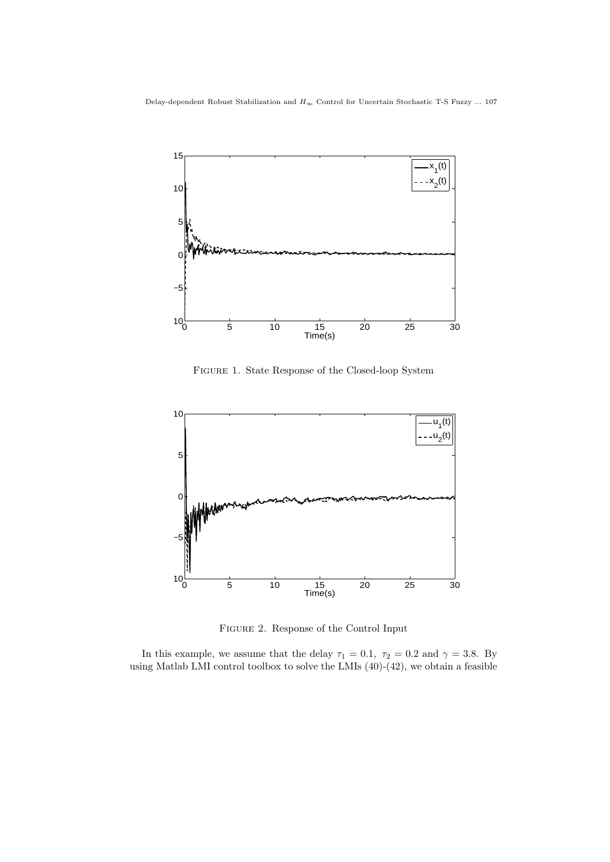

Figure 1. State Response of the Closed-loop System



Figure 2. Response of the Control Input

In this example, we assume that the delay  $\tau_1 = 0.1$ ,  $\tau_2 = 0.2$  and  $\gamma = 3.8$ . By using Matlab LMI control toolbox to solve the LMIs (40)-(42), we obtain a feasible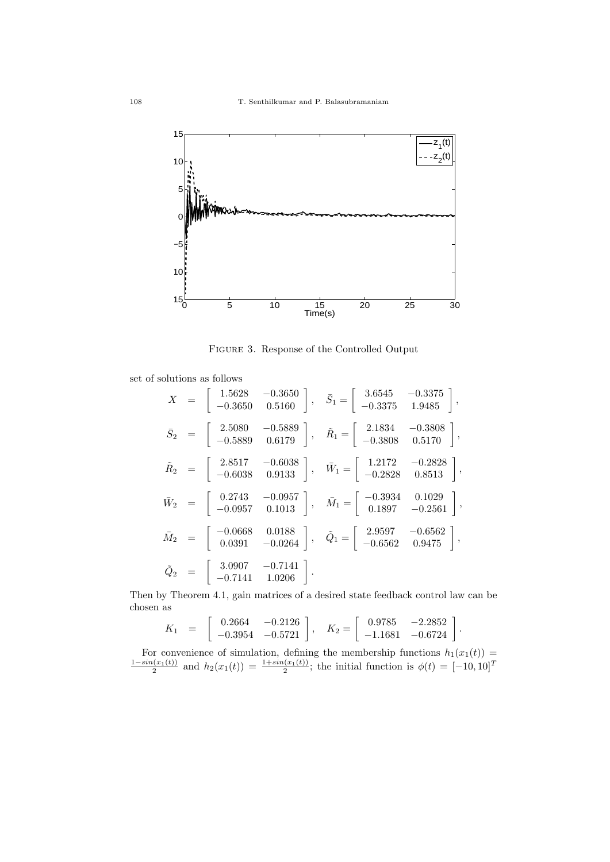

Figure 3. Response of the Controlled Output

set of solutions as follows

$$
X = \begin{bmatrix} 1.5628 & -0.3650 \\ -0.3650 & 0.5160 \end{bmatrix}, \quad \bar{S}_1 = \begin{bmatrix} 3.6545 & -0.3375 \\ -0.3375 & 1.9485 \end{bmatrix},
$$
  
\n
$$
\bar{S}_2 = \begin{bmatrix} 2.5080 & -0.5889 \\ -0.5889 & 0.6179 \end{bmatrix}, \quad \tilde{R}_1 = \begin{bmatrix} 2.1834 & -0.3808 \\ -0.3808 & 0.5170 \end{bmatrix},
$$
  
\n
$$
\tilde{R}_2 = \begin{bmatrix} 2.8517 & -0.6038 \\ -0.6038 & 0.9133 \end{bmatrix}, \quad \bar{W}_1 = \begin{bmatrix} 1.2172 & -0.2828 \\ -0.2828 & 0.8513 \end{bmatrix},
$$
  
\n
$$
\bar{W}_2 = \begin{bmatrix} 0.2743 & -0.0957 \\ -0.0957 & 0.1013 \end{bmatrix}, \quad \bar{M}_1 = \begin{bmatrix} -0.3934 & 0.1029 \\ 0.1897 & -0.2561 \end{bmatrix},
$$
  
\n
$$
\bar{M}_2 = \begin{bmatrix} -0.0668 & 0.0188 \\ 0.0391 & -0.0264 \end{bmatrix}, \quad \tilde{Q}_1 = \begin{bmatrix} 2.9597 & -0.6562 \\ -0.6562 & 0.9475 \end{bmatrix},
$$
  
\n
$$
\tilde{Q}_2 = \begin{bmatrix} 3.0907 & -0.7141 \\ -0.7141 & 1.0206 \end{bmatrix}.
$$

Then by Theorem 4.1, gain matrices of a desired state feedback control law can be chosen as

$$
K_1 = \begin{bmatrix} 0.2664 & -0.2126 \\ -0.3954 & -0.5721 \end{bmatrix}
$$
,  $K_2 = \begin{bmatrix} 0.9785 & -2.2852 \\ -1.1681 & -0.6724 \end{bmatrix}$ .

For convenience of simulation, defining the membership functions  $h_1(x_1(t)) =$  $\frac{1-\sin(x_1(t))}{2}$  and  $h_2(x_1(t)) = \frac{1+\sin(x_1(t))}{2}$ ; the initial function is  $\phi(t) = [-10, 10]^T$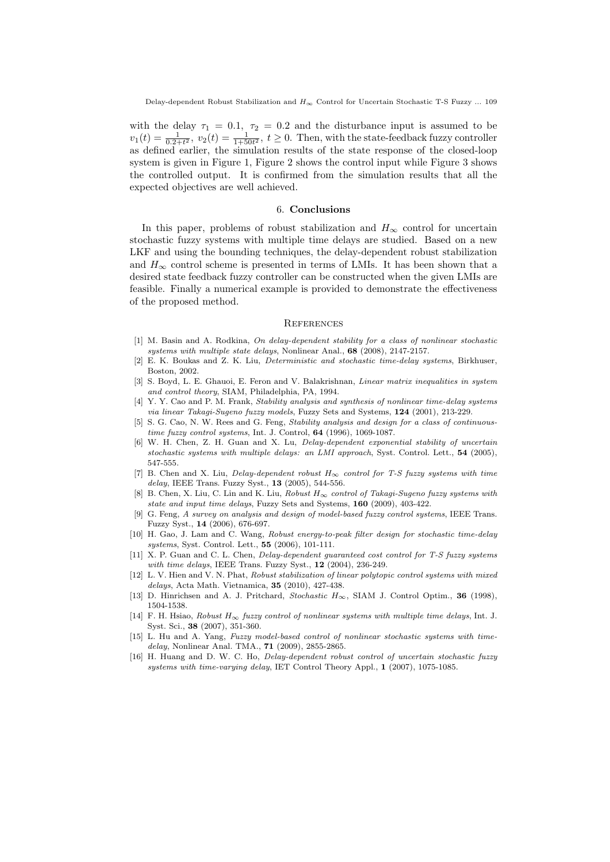with the delay  $\tau_1 = 0.1$ ,  $\tau_2 = 0.2$  and the disturbance input is assumed to be  $v_1(t) = \frac{1}{0.2+t^2}$ ,  $v_2(t) = \frac{1}{1+50t^2}$ ,  $t \ge 0$ . Then, with the state-feedback fuzzy controller as defined earlier, the simulation results of the state response of the closed-loop system is given in Figure 1, Figure 2 shows the control input while Figure 3 shows the controlled output. It is confirmed from the simulation results that all the expected objectives are well achieved.

## 6. **Conclusions**

In this paper, problems of robust stabilization and  $H_{\infty}$  control for uncertain stochastic fuzzy systems with multiple time delays are studied. Based on a new LKF and using the bounding techniques, the delay-dependent robust stabilization and  $H_{\infty}$  control scheme is presented in terms of LMIs. It has been shown that a desired state feedback fuzzy controller can be constructed when the given LMIs are feasible. Finally a numerical example is provided to demonstrate the effectiveness of the proposed method.

#### **REFERENCES**

- [1] M. Basin and A. Rodkina, *On delay-dependent stability for a class of nonlinear stochastic systems with multiple state delays*, Nonlinear Anal., **68** (2008), 2147-2157.
- [2] E. K. Boukas and Z. K. Liu, *Deterministic and stochastic time-delay systems*, Birkhuser, Boston, 2002.
- [3] S. Boyd, L. E. Ghauoi, E. Feron and V. Balakrishnan, *Linear matrix inequalities in system and control theory*, SIAM, Philadelphia, PA, 1994.
- [4] Y. Y. Cao and P. M. Frank, *Stability analysis and synthesis of nonlinear time-delay systems via linear Takagi-Sugeno fuzzy models*, Fuzzy Sets and Systems, **124** (2001), 213-229.
- [5] S. G. Cao, N. W. Rees and G. Feng, *Stability analysis and design for a class of continuoustime fuzzy control systems*, Int. J. Control, **64** (1996), 1069-1087.
- [6] W. H. Chen, Z. H. Guan and X. Lu, *Delay-dependent exponential stability of uncertain stochastic systems with multiple delays: an LMI approach*, Syst. Control. Lett., **54** (2005), 547-555.
- [7] B. Chen and X. Liu, *Delay-dependent robust H<sup>∞</sup> control for T-S fuzzy systems with time delay*, IEEE Trans. Fuzzy Syst., **13** (2005), 544-556.
- [8] B. Chen, X. Liu, C. Lin and K. Liu, *Robust H<sup>∞</sup> control of Takagi-Sugeno fuzzy systems with state and input time delays*, Fuzzy Sets and Systems, **160** (2009), 403-422.
- [9] G. Feng, *A survey on analysis and design of model-based fuzzy control systems*, IEEE Trans. Fuzzy Syst., **14** (2006), 676-697.
- [10] H. Gao, J. Lam and C. Wang, *Robust energy-to-peak filter design for stochastic time-delay systems*, Syst. Control. Lett., **55** (2006), 101-111.
- [11] X. P. Guan and C. L. Chen, *Delay-dependent guaranteed cost control for T-S fuzzy systems with time delays*, IEEE Trans. Fuzzy Syst., **12** (2004), 236-249.
- [12] L. V. Hien and V. N. Phat, *Robust stabilization of linear polytopic control systems with mixed delays*, Acta Math. Vietnamica, **35** (2010), 427-438.
- [13] D. Hinrichsen and A. J. Pritchard, *Stochastic H∞*, SIAM J. Control Optim., **36** (1998), 1504-1538.
- [14] F. H. Hsiao, *Robust H<sup>∞</sup> fuzzy control of nonlinear systems with multiple time delays*, Int. J. Syst. Sci., **38** (2007), 351-360.
- [15] L. Hu and A. Yang, *Fuzzy model-based control of nonlinear stochastic systems with timedelay*, Nonlinear Anal. TMA., **71** (2009), 2855-2865.
- [16] H. Huang and D. W. C. Ho, *Delay-dependent robust control of uncertain stochastic fuzzy systems with time-varying delay*, IET Control Theory Appl., **1** (2007), 1075-1085.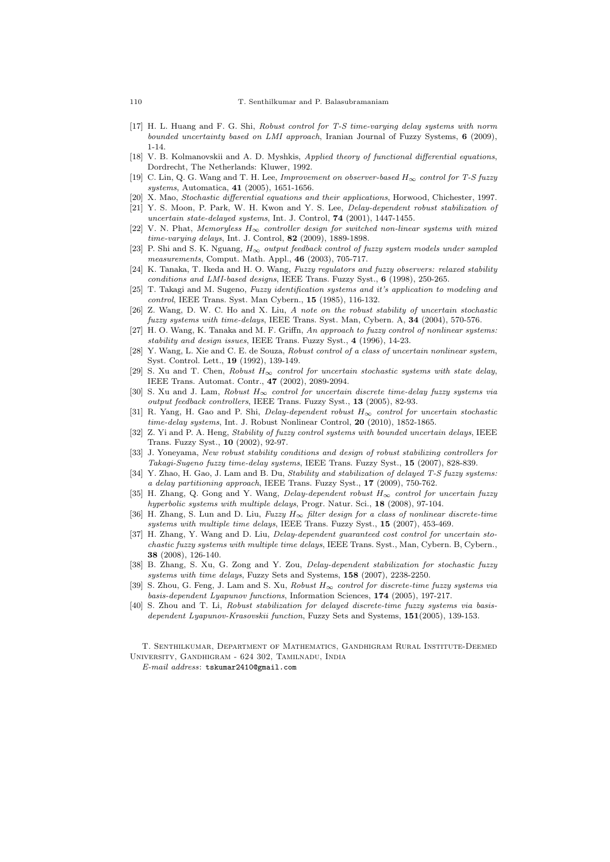- [17] H. L. Huang and F. G. Shi, *Robust control for T-S time-varying delay systems with norm bounded uncertainty based on LMI approach*, Iranian Journal of Fuzzy Systems, **6** (2009), 1-14.
- [18] V. B. Kolmanovskii and A. D. Myshkis, *Applied theory of functional differential equations*, Dordrecht, The Netherlands: Kluwer, 1992.
- [19] C. Lin, Q. G. Wang and T. H. Lee, *Improvement on observer-based H<sup>∞</sup> control for T-S fuzzy systems*, Automatica, **41** (2005), 1651-1656.
- [20] X. Mao, *Stochastic differential equations and their applications*, Horwood, Chichester, 1997.
- [21] Y. S. Moon, P. Park, W. H. Kwon and Y. S. Lee, *Delay-dependent robust stabilization of uncertain state-delayed systems*, Int. J. Control, **74** (2001), 1447-1455.
- [22] V. N. Phat, *Memoryless H<sup>∞</sup> controller design for switched non-linear systems with mixed time-varying delays*, Int. J. Control, **82** (2009), 1889-1898.
- [23] P. Shi and S. K. Nguang, *H<sup>∞</sup> output feedback control of fuzzy system models under sampled measurements*, Comput. Math. Appl., **46** (2003), 705-717.
- [24] K. Tanaka, T. Ikeda and H. O. Wang, *Fuzzy regulators and fuzzy observers: relaxed stability conditions and LMI-based designs*, IEEE Trans. Fuzzy Syst., **6** (1998), 250-265.
- [25] T. Takagi and M. Sugeno, *Fuzzy identification systems and it's application to modeling and control*, IEEE Trans. Syst. Man Cybern., **15** (1985), 116-132.
- [26] Z. Wang, D. W. C. Ho and X. Liu, *A note on the robust stability of uncertain stochastic fuzzy systems with time-delays*, IEEE Trans. Syst. Man, Cybern. A, **34** (2004), 570-576.
- [27] H. O. Wang, K. Tanaka and M. F. Griffn, *An approach to fuzzy control of nonlinear systems: stability and design issues*, IEEE Trans. Fuzzy Syst., **4** (1996), 14-23.
- [28] Y. Wang, L. Xie and C. E. de Souza, *Robust control of a class of uncertain nonlinear system*, Syst. Control. Lett., **19** (1992), 139-149.
- [29] S. Xu and T. Chen, *Robust*  $H_{\infty}$  *control for uncertain stochastic systems with state delay,* IEEE Trans. Automat. Contr., **47** (2002), 2089-2094.
- [30] S. Xu and J. Lam, *Robust H<sup>∞</sup> control for uncertain discrete time-delay fuzzy systems via output feedback controllers*, IEEE Trans. Fuzzy Syst., **13** (2005), 82-93.
- [31] R. Yang, H. Gao and P. Shi, *Delay-dependent robust H<sup>∞</sup> control for uncertain stochastic time-delay systems*, Int. J. Robust Nonlinear Control, **20** (2010), 1852-1865.
- [32] Z. Yi and P. A. Heng, *Stability of fuzzy control systems with bounded uncertain delays*, IEEE Trans. Fuzzy Syst., **10** (2002), 92-97.
- [33] J. Yoneyama, *New robust stability conditions and design of robust stabilizing controllers for Takagi-Sugeno fuzzy time-delay systems*, IEEE Trans. Fuzzy Syst., **15** (2007), 828-839.
- [34] Y. Zhao, H. Gao, J. Lam and B. Du, *Stability and stabilization of delayed T-S fuzzy systems: a delay partitioning approach*, IEEE Trans. Fuzzy Syst., **17** (2009), 750-762.
- [35] H. Zhang, Q. Gong and Y. Wang, *Delay-dependent robust H<sup>∞</sup> control for uncertain fuzzy hyperbolic systems with multiple delays*, Progr. Natur. Sci., **18** (2008), 97-104.
- [36] H. Zhang, S. Lun and D. Liu, *Fuzzy H<sup>∞</sup> filter design for a class of nonlinear discrete-time systems with multiple time delays*, IEEE Trans. Fuzzy Syst., **15** (2007), 453-469.
- [37] H. Zhang, Y. Wang and D. Liu, *Delay-dependent guaranteed cost control for uncertain stochastic fuzzy systems with multiple time delays*, IEEE Trans. Syst., Man, Cybern. B, Cybern., **38** (2008), 126-140.
- [38] B. Zhang, S. Xu, G. Zong and Y. Zou, *Delay-dependent stabilization for stochastic fuzzy systems with time delays*, Fuzzy Sets and Systems, **158** (2007), 2238-2250.
- [39] S. Zhou, G. Feng, J. Lam and S. Xu, *Robust H<sup>∞</sup> control for discrete-time fuzzy systems via basis-dependent Lyapunov functions*, Information Sciences, **174** (2005), 197-217.
- [40] S. Zhou and T. Li, *Robust stabilization for delayed discrete-time fuzzy systems via basisdependent Lyapunov-Krasovskii function*, Fuzzy Sets and Systems, **151**(2005), 139-153.

T. Senthilkumar, Department of Mathematics, Gandhigram Rural Institute-Deemed University, Gandhigram - 624 302, Tamilnadu, India

*E-mail address*: tskumar2410@gmail.com